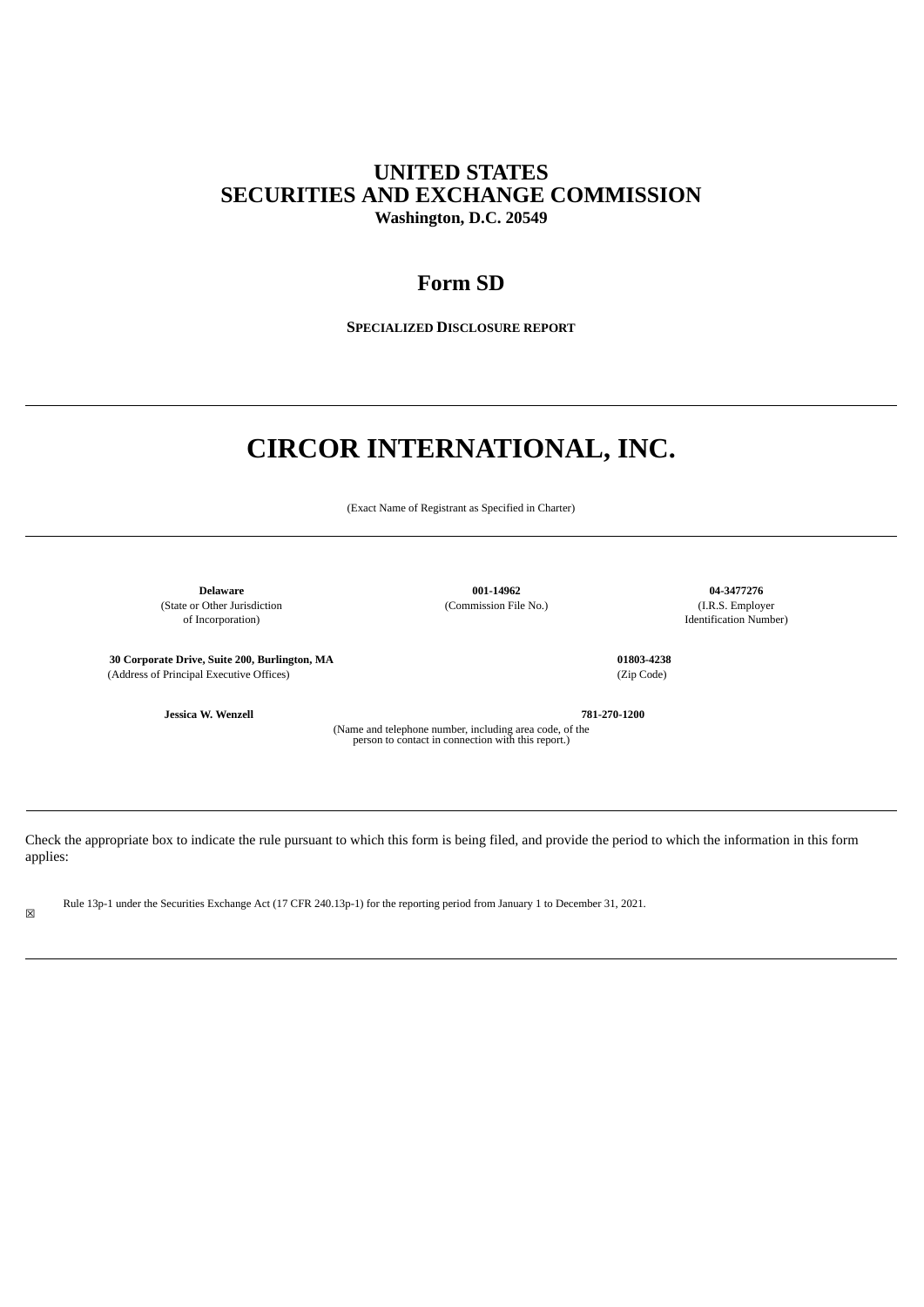# **UNITED STATES SECURITIES AND EXCHANGE COMMISSION Washington, D.C. 20549**

# **Form SD**

**SPECIALIZED DISCLOSURE REPORT**

# **CIRCOR INTERNATIONAL, INC.**

(Exact Name of Registrant as Specified in Charter)

(State or Other Jurisdiction (Commission File No.) (I.R.S. Employer of Incorporation) (I.R.S. Employer of Incorporation)

**Delaware 001-14962 04-3477276**

Identification Number)

**30 Corporate Drive, Suite 200, Burlington, MA 01803-4238** (Address of Principal Executive Offices) (Zip Code)

**Jessica W. Wenzell 781-270-1200**

(Name and telephone number, including area code, of the person to contact in connection with this report.)

Check the appropriate box to indicate the rule pursuant to which this form is being filed, and provide the period to which the information in this form applies:

Rule 13p-1 under the Securities Exchange Act (17 CFR 240.13p-1) for the reporting period from January 1 to December 31, 2021.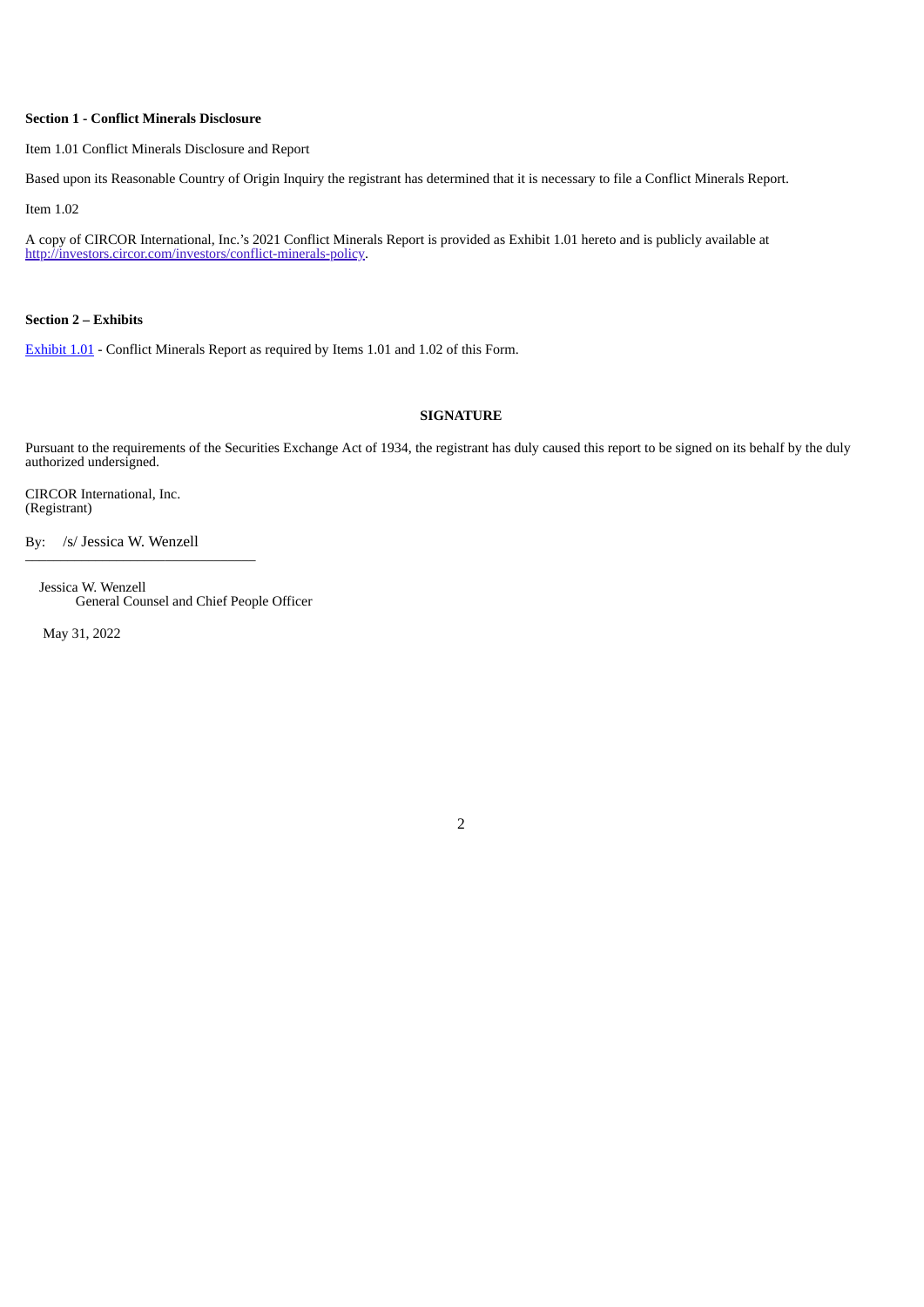# **Section 1 - Conflict Minerals Disclosure**

Item 1.01 Conflict Minerals Disclosure and Report

Based upon its Reasonable Country of Origin Inquiry the registrant has determined that it is necessary to file a Conflict Minerals Report.

Item 1.02

A copy of CIRCOR International, Inc.'s 2021 Conflict Minerals Report is provided as Exhibit 1.01 hereto and is publicly available at http://investors.circor.com/investors/conflict-minerals-policy.

**Section 2 – Exhibits**

[Exhibit](#page-2-0) 1.01 - Conflict Minerals Report as required by Items 1.01 and 1.02 of this Form.

# **SIGNATURE**

2

Pursuant to the requirements of the Securities Exchange Act of 1934, the registrant has duly caused this report to be signed on its behalf by the duly authorized undersigned.

CIRCOR International, Inc. (Registrant)

By: /s/ Jessica W. Wenzell  $\overline{\phantom{a}}$  , where  $\overline{\phantom{a}}$  , where  $\overline{\phantom{a}}$  ,  $\overline{\phantom{a}}$  ,  $\overline{\phantom{a}}$  ,  $\overline{\phantom{a}}$  ,  $\overline{\phantom{a}}$  ,  $\overline{\phantom{a}}$  ,  $\overline{\phantom{a}}$  ,  $\overline{\phantom{a}}$  ,  $\overline{\phantom{a}}$  ,  $\overline{\phantom{a}}$  ,  $\overline{\phantom{a}}$  ,  $\overline{\phantom{a}}$  ,  $\overline{\phantom{a}}$  ,

Jessica W. Wenzell General Counsel and Chief People Officer

May 31, 2022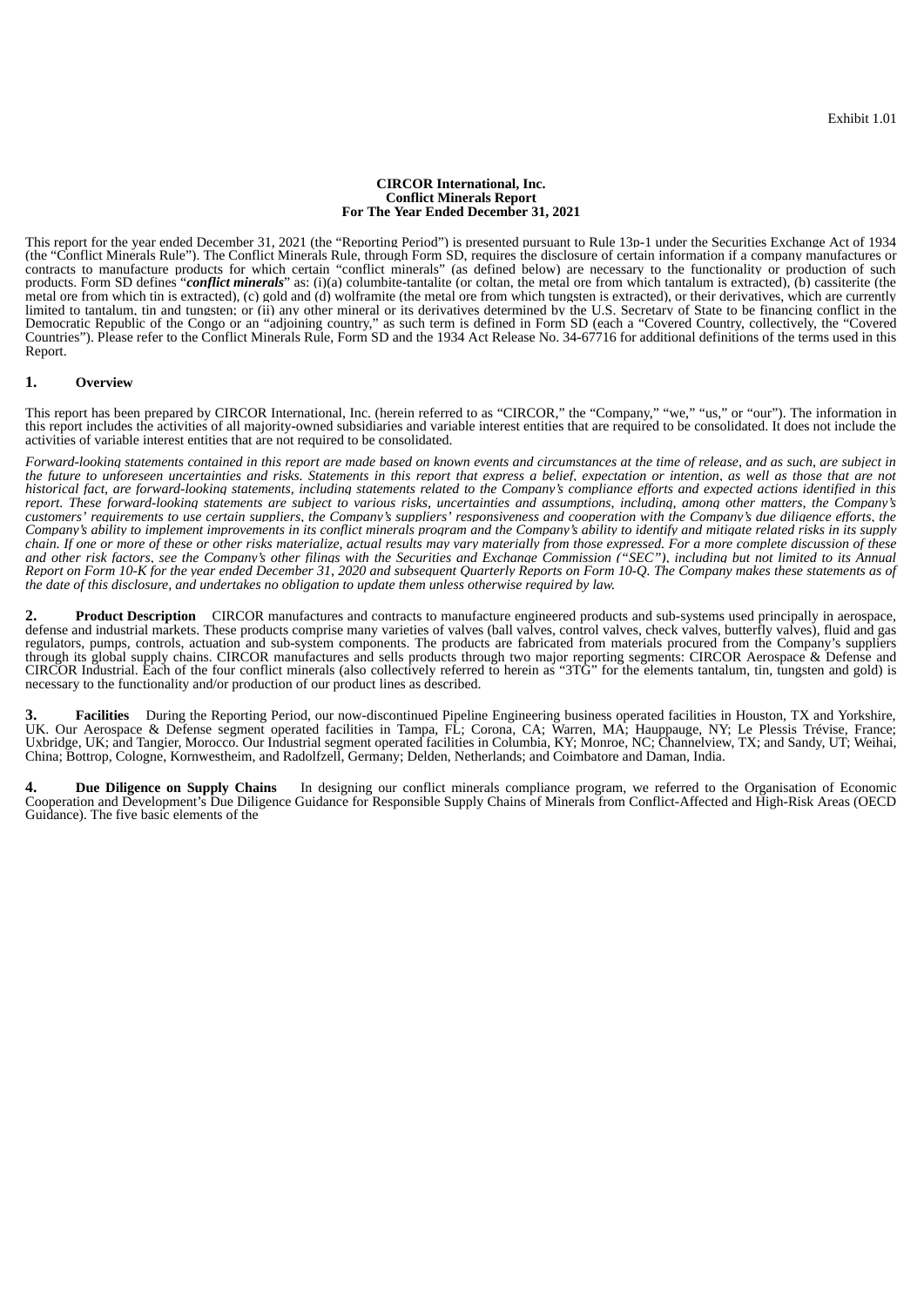#### **CIRCOR International, Inc. Conflict Minerals Report For The Year Ended December 31, 2021**

<span id="page-2-0"></span>This report for the year ended December 31, 2021 (the "Reporting Period") is presented pursuant to Rule 13p-1 under the Securities Exchange Act of 1934 (the "Conflict Minerals Rule"). The Conflict Minerals Rule, through Form SD, requires the disclosure of certain information if a company manufactures or contracts to manufacture products for which certain "conflict minerals" (as defined below) are necessary to the functionality or production of such products. Form SD defines "*conflict minerals*" as: (i)(a) columbite-tantalite (or coltan, the metal ore from which tantalum is extracted), (b) cassiterite (the metal ore from which tin is extracted), (c) gold and (d) wolframite (the metal ore from which tungsten is extracted), or their derivatives, which are currently limited to tantalum, tin and tungsten; or (ii) any other mineral or its derivatives determined by the U.S. Secretary of State to be financing conflict in the Democratic Republic of the Congo or an "adjoining country," as such term is defined in Form SD (each a "Covered Country, collectively, the "Covered Countries"). Please refer to the Conflict Minerals Rule, Form SD and the 1934 Act Release No. 34-67716 for additional definitions of the terms used in this Report.

#### **1. Overview**

This report has been prepared by CIRCOR International, Inc. (herein referred to as "CIRCOR," the "Company," "we," "us," or "our"). The information in this report includes the activities of all majority-owned subsidiaries and variable interest entities that are required to be consolidated. It does not include the activities of variable interest entities that are not required to be consolidated.

Forward-looking statements contained in this report are made based on known events and circumstances at the time of release, and as such, are subject in the future to unforeseen uncertainties and risks. Statements in this report that express a belief, expectation or intention, as well as those that are not historical fact, are forward-looking statements, including statements related to the Company's compliance efforts and expected actions identified in this report. These forward-looking statements are subject to various risks, uncertainties and assumptions, including, among other matters, the Company's customers' requirements to use certain suppliers, the Company's suppliers' responsiveness and cooperation with the Company's due diliaence efforts, the Company's ability to implement improvements in its conflict minerals proaram and the Company's ability to identify and mitiaate related risks in its supply chain. If one or more of these or other risks materialize, actual results may vary materially from those expressed. For a more complete discussion of these and other risk factors, see the Company's other filinas with the Securities and Exchanae Commission ("SEC"), includina but not limited to its Annual Report on Form 10-K for the year ended December 31, 2020 and subsequent Quarterly Reports on Form 10-Q. The Company makes these statements as of the date of this disclosure, and undertakes no obligation to update them unless otherwise required by law.

**2. Product Description** CIRCOR manufactures and contracts to manufacture engineered products and sub-systems used principally in aerospace, defense and industrial markets. These products comprise many varieties of valves (ball valves, control valves, check valves, butterfly valves), fluid and gas regulators, pumps, controls, actuation and sub-system components. The products are fabricated from materials procured from the Company's suppliers through its global supply chains. CIRCOR manufactures and sells products through two major reporting segments: CIRCOR Aerospace & Defense and CIRCOR Industrial. Each of the four conflict minerals (also collectively referred to herein as "3TG" for the elements tantalum, tin, tungsten and gold) is necessary to the functionality and/or production of our product lines as described.

**3. Facilities** During the Reporting Period, our now-discontinued Pipeline Engineering business operated facilities in Houston, TX and Yorkshire, UK. Our Aerospace & Defense segment operated facilities in Tampa, FL; Corona, CA; Warren, MA; Hauppauge, NY; Le Plessis Trévise, France; Uxbridge, UK; and Tangier, Morocco. Our Industrial segment operated facilities in Columbia, KY; Monroe, NC; Channelview, TX; and Sandy, UT; Weihai, China; Bottrop, Cologne, Kornwestheim, and Radolfzell, Germany; Delden, Netherlands; and Coimbatore and Daman, India.

**4. Due Diligence on Supply Chains** In designing our conflict minerals compliance program, we referred to the Organisation of Economic Cooperation and Development's Due Diligence Guidance for Responsible Supply Chains of Minerals from Conflict-Affected and High-Risk Areas (OECD Guidance). The five basic elements of the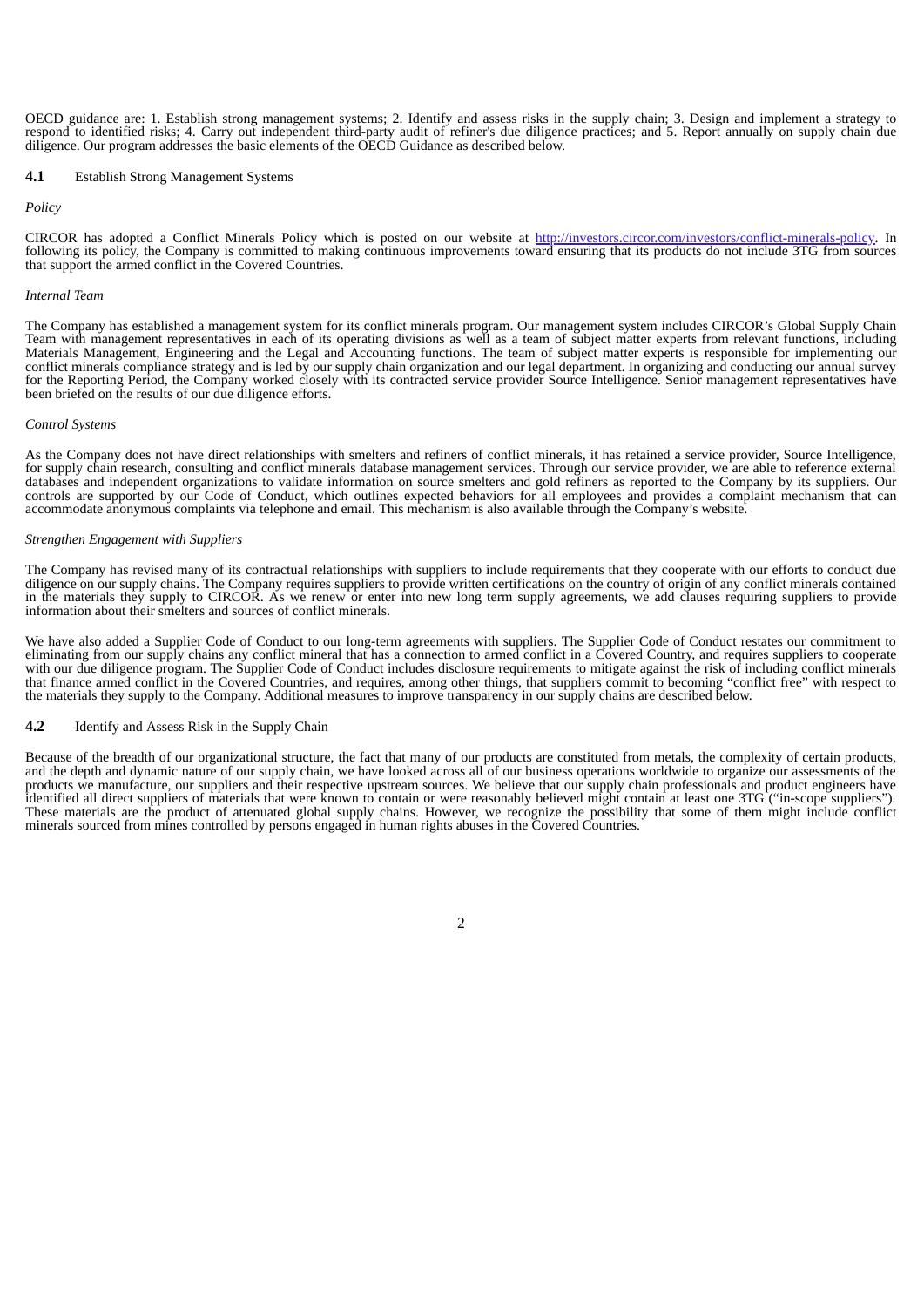OECD guidance are: 1. Establish strong management systems; 2. Identify and assess risks in the supply chain; 3. Design and implement a strategy to respond to identified risks; 4. Carry out independent third-party audit of refiner's due diligence practices; and 5. Report annually on supply chain due diligence. Our program addresses the basic elements of the OECD Guidance as described below.

#### **4.1** Establish Strong Management Systems

#### *Policy*

CIRCOR has adopted a Conflict Minerals Policy which is posted on our website at http://investors.circor.com/investors/conflict-minerals-policy. In following its policy, the Company is committed to making continuous improvements toward ensuring that its products do not include 3TG from sources that support the armed conflict in the Covered Countries.

#### *Internal Team*

The Company has established a management system for its conflict minerals program. Our management system includes CIRCOR's Global Supply Chain Team with management representatives in each of its operating divisions as well as a team of subject matter experts from relevant functions, including Materials Management, Engineering and the Legal and Accounting functions. The team of subject matter experts is responsible for implementing our conflict minerals compliance strategy and is led by our supply chain organization and our legal department. In organizing and conducting our annual survey for the Reporting Period, the Company worked closely with its contracted service provider Source Intelligence. Senior management representatives have been briefed on the results of our due diligence efforts.

#### *Control Systems*

As the Company does not have direct relationships with smelters and refiners of conflict minerals, it has retained a service provider, Source Intelligence, for supply chain research, consulting and conflict minerals database management services. Through our service provider, we are able to reference external databases and independent organizations to validate information on source smelters and gold refiners as reported to the Company by its suppliers. Our controls are supported by our Code of Conduct, which outlines expected behaviors for all employees and provides a complaint mechanism that can accommodate anonymous complaints via telephone and email. This mechanism is also available through the Company's website.

#### *Strengthen Engagement with Suppliers*

The Company has revised many of its contractual relationships with suppliers to include requirements that they cooperate with our efforts to conduct due diligence on our supply chains. The Company requires suppliers to provide written certifications on the country of origin of any conflict minerals contained in the materials they supply to CIRCOR. As we renew or enter into new long term supply agreements, we add clauses requiring suppliers to provide information about their smelters and sources of conflict minerals.

We have also added a Supplier Code of Conduct to our long-term agreements with suppliers. The Supplier Code of Conduct restates our commitment to eliminating from our supply chains any conflict mineral that has a connection to armed conflict in a Covered Country, and requires suppliers to cooperate eliminating from our supply chains any conflict mineral that has a c with our due diligence program. The Supplier Code of Conduct includes disclosure requirements to mitigate against the risk of including conflict minerals that finance armed conflict in the Covered Countries, and requires, among other things, that suppliers commit to becoming "conflict free" with respect to the materials they supply to the Company. Additional measures to improve transparency in our supply chains are described below.

#### **4.2** Identify and Assess Risk in the Supply Chain

Because of the breadth of our organizational structure, the fact that many of our products are constituted from metals, the complexity of certain products, and the depth and dynamic nature of our supply chain, we have looked across all of our business operations worldwide to organize our assessments of the products we manufacture, our suppliers and their respective upstream sources. We believe that our supply chain professionals and product engineers have identified all direct suppliers of materials that were known to contain or were reasonably believed might contain at least one 3TG ("in-scope suppliers"). These materials are the product of attenuated global supply chains. However, we recognize the possibility that some of them might include conflict minerals sourced from mines controlled by persons engaged in human rights abuses in the Covered Countries.

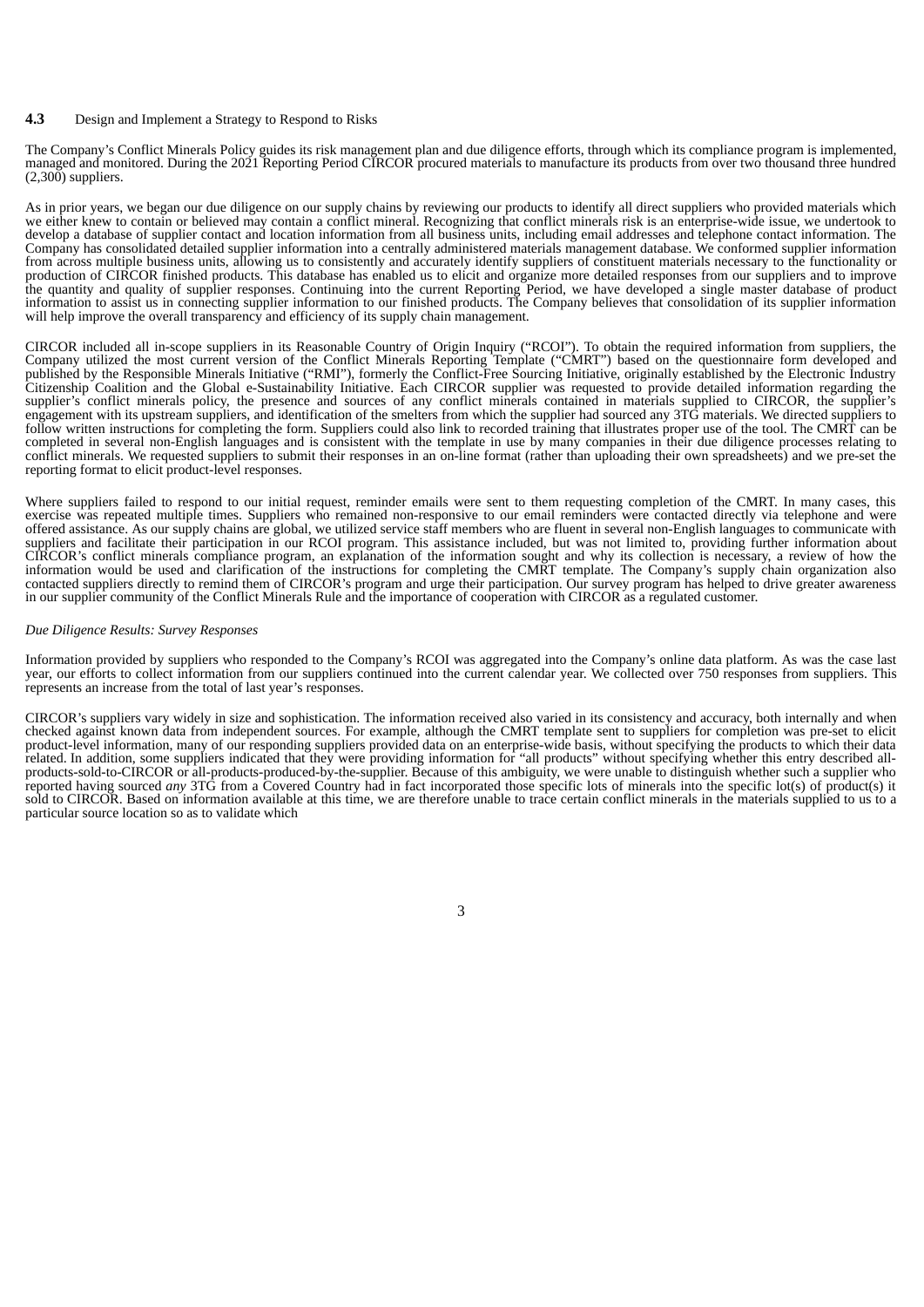## **4.3** Design and Implement a Strategy to Respond to Risks

The Company's Conflict Minerals Policy guides its risk management plan and due diligence efforts, through which its compliance program is implemented, managed and monitored. During the 2021 Reporting Period CIRCOR procured materials to manufacture its products from over two thousand three hundred  $(2,300)$  suppliers.

As in prior years, we began our due diligence on our supply chains by reviewing our products to identify all direct suppliers who provided materials which we either knew to contain or believed may contain a conflict mineral. Recognizing that conflict minerals risk is an enterprise-wide issue, we undertook to develop a database of supplier contact and location information from all business units, including email addresses and telephone contact information. The Company has consolidated detailed supplier information into a centrally administered materials management database. We conformed supplier information from across multiple business units, allowing us to consistently and accurately identify suppliers of constituent materials necessary to the functionality or production of CIRCOR finished products. This database has enabled us to elicit and organize more detailed responses from our suppliers and to improve the quantity and quality of supplier responses. Continuing into the current Reporting Period, we have developed a single master database of product information to assist us in connecting supplier information to our finished products. The Company believes that consolidation of its supplier information will help improve the overall transparency and efficiency of its supply chain management.

CIRCOR included all in-scope suppliers in its Reasonable Country of Origin Inquiry ("RCOI"). To obtain the required information from suppliers, the Company utilized the most current version of the Conflict Minerals Reporting Template ("CMRT") based on the questionnaire form developed and published by the Responsible Minerals Initiative ("RMI"), formerly the Conflict-Free Sourcing Initiative, originally established by the Electronic Industry Citizenship Coalition and the Global e-Sustainability Initiative. Each CIRCOR supplier was requested to provide detailed information regarding the supplier's conflict minerals policy, the presence and sources of any conflict minerals contained in materials supplied to CIRCOR, the supplier's engagement with its upstream suppliers, and identification of the smelters from which the supplier had sourced any 3TG materials. We directed suppliers to follow written instructions for completing the form. Suppliers could also link to recorded training that illustrates proper use of the tool. The CMRT can be completed in several non-English languages and is consistent with the template in use by many companies in their due diligence processes relating to conflict minerals. We requested suppliers to submit their responses in an on-line format (rather than uploading their own spreadsheets) and we pre-set the reporting format to elicit product-level responses.

Where suppliers failed to respond to our initial request, reminder emails were sent to them requesting completion of the CMRT. In many cases, this exercise was repeated multiple times. Suppliers who remained non-responsive to our email reminders were contacted directly via telephone and were offered assistance. As our supply chains are global, we utilized service staff members who are fluent in several non-English languages to communicate with suppliers and facilitate their participation in our RCOI program. This assistance included, but was not limited to, providing further information about CIRCOR's conflict minerals compliance program, an explanation of the information sought and why its collection is necessary, a review of how the information would be used and clarification of the instructions for completing the CMRT template. The Company's supply chain organization also contacted suppliers directly to remind them of CIRCOR's program and urge their participation. Our survey program has helped to drive greater awareness in our supplier community of the Conflict Minerals Rule and the importance of cooperation with CIRCOR as a regulated customer.

#### *Due Diligence Results: Survey Responses*

Information provided by suppliers who responded to the Company's RCOI was aggregated into the Company's online data platform. As was the case last year, our efforts to collect information from our suppliers continued into the current calendar year. We collected over 750 responses from suppliers. This represents an increase from the total of last year's responses.

CIRCOR's suppliers vary widely in size and sophistication. The information received also varied in its consistency and accuracy, both internally and when checked against known data from independent sources. For example, although the CMRT template sent to suppliers for completion was pre-set to elicit product-level information, many of our responding suppliers provided data on an enterprise-wide basis, without specifying the products to which their data related. In addition, some suppliers indicated that they were providing information for "all products" without specifying whether this entry described allproducts-sold-to-CIRCOR or all-products-produced-by-the-supplier. Because of this ambiguity, we were unable to distinguish whether such a supplier who reported having sourced *any* 3TG from a Covered Country had in fact incorporated those specific lots of minerals into the specific lot(s) of product(s) it sold to CIRCOR. Based on information available at this time, we are therefore unable to trace certain conflict minerals in the materials supplied to us to a particular source location so as to validate which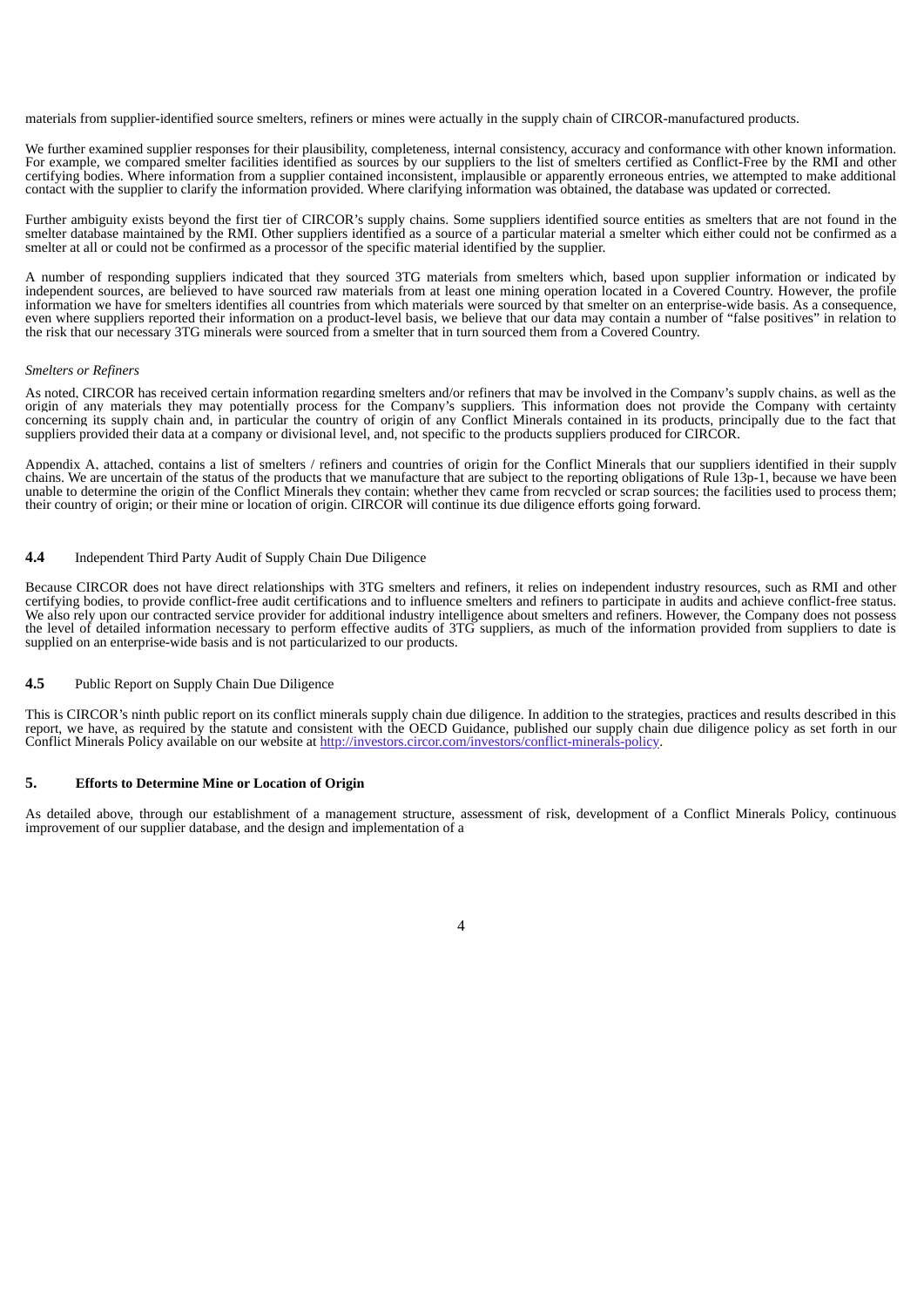materials from supplier-identified source smelters, refiners or mines were actually in the supply chain of CIRCOR-manufactured products.

We further examined supplier responses for their plausibility, completeness, internal consistency, accuracy and conformance with other known information. For example, we compared smelter facilities identified as sources by our suppliers to the list of smelters certified as Conflict-Free by the RMI and other certifying bodies. Where information from a supplier contained inconsistent, implausible or apparently erroneous entries, we attempted to make additional contact with the supplier to clarify the information provided. Where clarifying information was obtained, the database was updated or corrected.

Further ambiguity exists beyond the first tier of CIRCOR's supply chains. Some suppliers identified source entities as smelters that are not found in the smelter database maintained by the RMI. Other suppliers identified as a source of a particular material a smelter which either could not be confirmed as a smelter at all or could not be confirmed as a processor of the specific material identified by the supplier.

A number of responding suppliers indicated that they sourced 3TG materials from smelters which, based upon supplier information or indicated by independent sources, are believed to have sourced raw materials from at least one mining operation located in a Covered Country. However, the profile information we have for smelters identifies all countries from which materials were sourced by that smelter on an enterprise-wide basis. As a consequence, even where suppliers reported their information on a product-level basis, we believe that our data may contain a number of "false positives" in relation to the risk that our necessary 3TG minerals were sourced from a smelter that in turn sourced them from a Covered Country.

#### *Smelters or Refiners*

As noted, CIRCOR has received certain information regarding smelters and/or refiners that may be involved in the Company's supply chains, as well as the origin of any materials they may potentially process for the Company's suppliers. This information does not provide the Company with certainty concerning its supply chain and, in particular the country of origin of any Conflict Minerals contained in its products, principally due to the fact that concerning its supply chain and, in particular the country of origin suppliers provided their data at a company or divisional level, and, not specific to the products suppliers produced for CIRCOR.

Appendix A, attached, contains a list of smelters / refiners and countries of origin for the Conflict Minerals that our suppliers identified in their supply chains. We are uncertain of the status of the products that we manufacture that are subject to the reporting obligations of Rule 13p-1, because we have been unable to determine the origin of the Conflict Minerals they contain; whether they came from recycled or scrap sources; the facilities used to process them; their country of origin; or their mine or location of origin. CIRCOR will continue its due diligence efforts going forward.

#### **4.4** Independent Third Party Audit of Supply Chain Due Diligence

Because CIRCOR does not have direct relationships with 3TG smelters and refiners, it relies on independent industry resources, such as RMI and other certifying bodies, to provide conflict-free audit certifications and to i We also rely upon our contracted service provider for additional industry intelligence about smelters and refiners. However, the Company does not possess the level of detailed information necessary to perform effective audits of 3TG suppliers, as much of the information provided from suppliers to date is supplied on an enterprise-wide basis and is not particularized to our products.

## **4.5** Public Report on Supply Chain Due Diligence

This is CIRCOR's ninth public report on its conflict minerals supply chain due diligence. In addition to the strategies, practices and results described in this report, we have, as required by the statute and consistent with the OECD Guidance, published our supply chain due diligence policy as set forth in our Conflict Minerals Policy available on our website at http://investors.circor.com/investors/conflict-minerals-policy.

## **5. Efforts to Determine Mine or Location of Origin**

As detailed above, through our establishment of a management structure, assessment of risk, development of a Conflict Minerals Policy, continuous improvement of our supplier database, and the design and implementation of a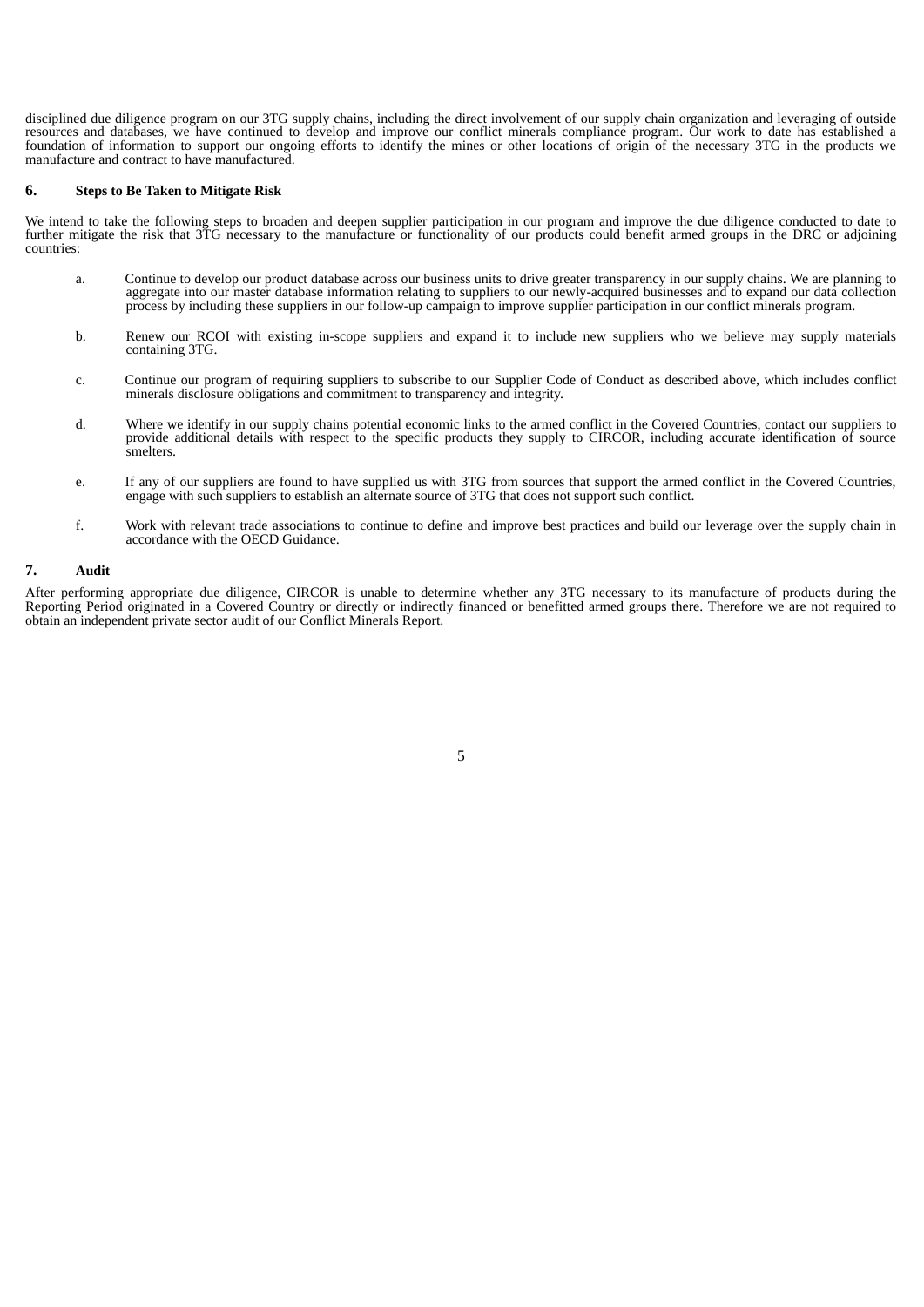disciplined due diligence program on our 3TG supply chains, including the direct involvement of our supply chain organization and leveraging of outside resources and databases, we have continued to develop and improve our conflict minerals compliance program. Our work to date has established a foundation of information to support our ongoing efforts to identify the mines or other locations of origin of the necessary 3TG in the products we manufacture and contract to have manufactured.

#### **6. Steps to Be Taken to Mitigate Risk**

We intend to take the following steps to broaden and deepen supplier participation in our program and improve the due diligence conducted to date to further mitigate the risk that 3TG necessary to the manufacture or functionality of our products could benefit armed groups in the DRC or adjoining countries:

- a. Continue to develop our product database across our business units to drive greater transparency in our supply chains. We are planning to aggregate into our master database information relating to suppliers to our newly-acquired businesses and to expand our data collection process by including these suppliers in our follow-up campaign to improve supplier participation in our conflict minerals program.
- b. Renew our RCOI with existing in-scope suppliers and expand it to include new suppliers who we believe may supply materials containing 3TG.
- c. Continue our program of requiring suppliers to subscribe to our Supplier Code of Conduct as described above, which includes conflict minerals disclosure obligations and commitment to transparency and integrity.
- d. Where we identify in our supply chains potential economic links to the armed conflict in the Covered Countries, contact our suppliers to provide additional details with respect to the specific products they supply to CIRCOR, including accurate identification of source smelters.
- e. If any of our suppliers are found to have supplied us with 3TG from sources that support the armed conflict in the Covered Countries, engage with such suppliers to establish an alternate source of 3TG that does not support such conflict.
- f. Work with relevant trade associations to continue to define and improve best practices and build our leverage over the supply chain in accordance with the OECD Guidance.

## **7. Audit**

After performing appropriate due diligence, CIRCOR is unable to determine whether any 3TG necessary to its manufacture of products during the Reporting Period originated in a Covered Country or directly or indirectly financed or benefitted armed groups there. Therefore we are not required to obtain an independent private sector audit of our Conflict Minerals Report.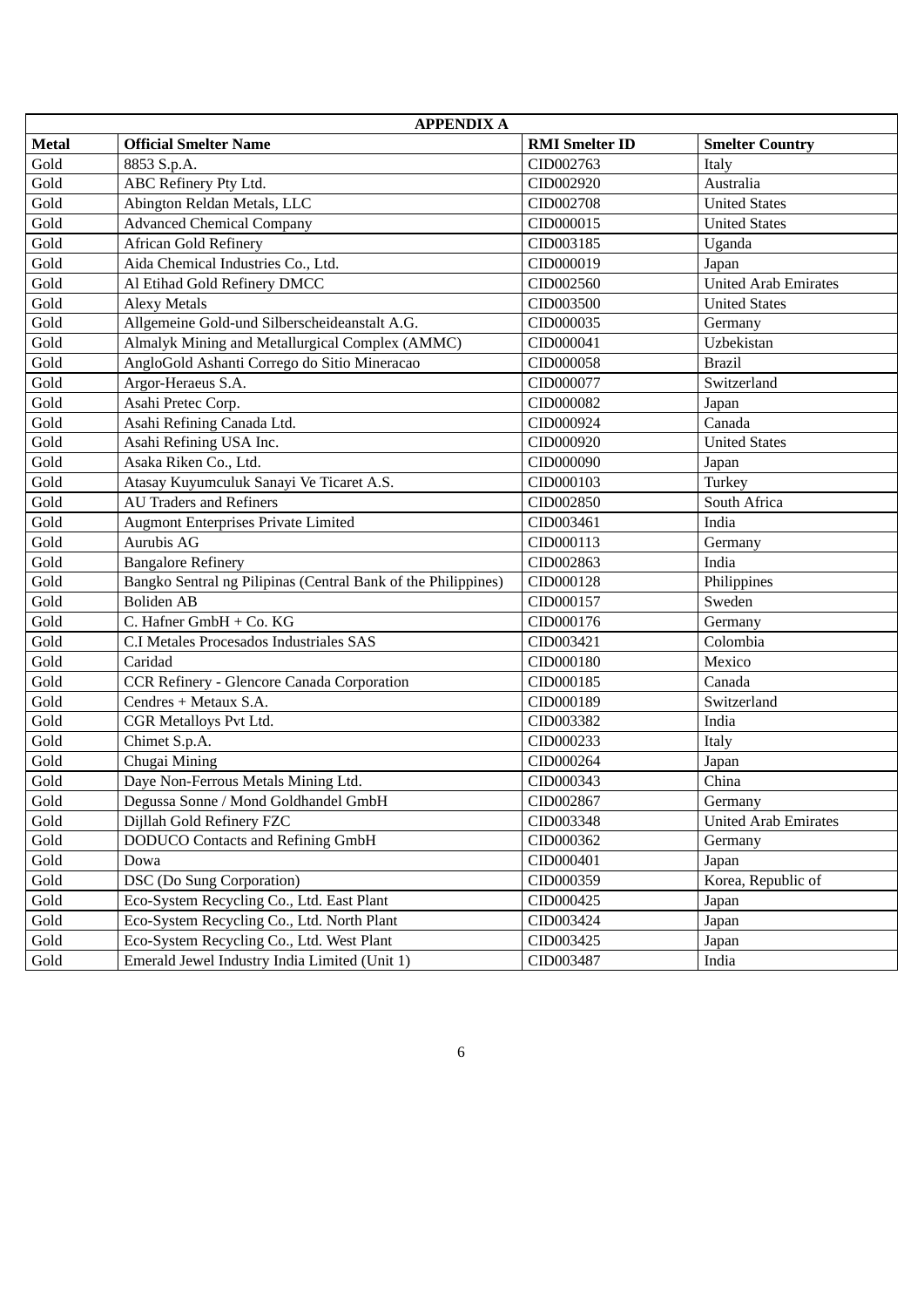| <b>APPENDIX A</b>     |                                                               |                       |                             |
|-----------------------|---------------------------------------------------------------|-----------------------|-----------------------------|
| <b>Metal</b>          | <b>Official Smelter Name</b>                                  | <b>RMI</b> Smelter ID | <b>Smelter Country</b>      |
| Gold                  | 8853 S.p.A.                                                   | CID002763             | Italy                       |
| Gold                  | ABC Refinery Pty Ltd.                                         | CID002920             | Australia                   |
| Gold                  | Abington Reldan Metals, LLC                                   | CID002708             | <b>United States</b>        |
| Gold                  | <b>Advanced Chemical Company</b>                              | CID000015             | <b>United States</b>        |
| Gold                  | <b>African Gold Refinery</b>                                  | CID003185             | Uganda                      |
| Gold                  | Aida Chemical Industries Co., Ltd.                            | CID000019             | Japan                       |
| Gold                  | Al Etihad Gold Refinery DMCC                                  | CID002560             | <b>United Arab Emirates</b> |
| Gold                  | <b>Alexy Metals</b>                                           | CID003500             | <b>United States</b>        |
| Gold                  | Allgemeine Gold-und Silberscheideanstalt A.G.                 | CID000035             | Germany                     |
| Gold                  | Almalyk Mining and Metallurgical Complex (AMMC)               | CID000041             | Uzbekistan                  |
| Gold                  | AngloGold Ashanti Corrego do Sitio Mineracao                  | CID000058             | <b>Brazil</b>               |
| Gold                  | Argor-Heraeus S.A.                                            | CID000077             | Switzerland                 |
| Gold                  | Asahi Pretec Corp.                                            | CID000082             | Japan                       |
| Gold                  | Asahi Refining Canada Ltd.                                    | CID000924             | Canada                      |
| Gold                  | Asahi Refining USA Inc.                                       | CID000920             | <b>United States</b>        |
| Gold                  | Asaka Riken Co., Ltd.                                         | CID000090             | Japan                       |
| Gold                  | Atasay Kuyumculuk Sanayi Ve Ticaret A.S.                      | CID000103             | Turkey                      |
| Gold                  | <b>AU Traders and Refiners</b>                                | CID002850             | South Africa                |
| Gold                  | <b>Augmont Enterprises Private Limited</b>                    | CID003461             | India                       |
| Gold                  | Aurubis AG                                                    | CID000113             | Germany                     |
| Gold                  | <b>Bangalore Refinery</b>                                     | CID002863             | India                       |
| Gold                  | Bangko Sentral ng Pilipinas (Central Bank of the Philippines) | CID000128             | Philippines                 |
| Gold                  | <b>Boliden AB</b>                                             | CID000157             | Sweden                      |
| Gold                  | C. Hafner GmbH + Co. KG                                       | CID000176             | Germany                     |
| Gold                  | C.I Metales Procesados Industriales SAS                       | CID003421             | Colombia                    |
| Gold                  | Caridad                                                       | CID000180             | Mexico                      |
| Gold                  | CCR Refinery - Glencore Canada Corporation                    | CID000185             | Canada                      |
| Gold                  | Cendres + Metaux S.A.                                         | CID000189             | Switzerland                 |
| Gold                  | CGR Metalloys Pvt Ltd.                                        | CID003382             | India                       |
| Gold                  | Chimet S.p.A.                                                 | CID000233             | Italy                       |
| Gold                  | Chugai Mining                                                 | CID000264             | Japan                       |
| Gold                  | Daye Non-Ferrous Metals Mining Ltd.                           | CID000343             | China                       |
| Gold                  | Degussa Sonne / Mond Goldhandel GmbH                          | CID002867             | Germany                     |
| $\operatorname{Gold}$ | Dijllah Gold Refinery FZC                                     | CID003348             | <b>United Arab Emirates</b> |
| Gold                  | <b>DODUCO Contacts and Refining GmbH</b>                      | CID000362             | Germany                     |
| Gold                  | Dowa                                                          | CID000401             | Japan                       |
| Gold                  | <b>DSC</b> (Do Sung Corporation)                              | CID000359             | Korea, Republic of          |
| Gold                  | Eco-System Recycling Co., Ltd. East Plant                     | CID000425             | Japan                       |
| Gold                  | Eco-System Recycling Co., Ltd. North Plant                    | CID003424             | Japan                       |
| Gold                  | Eco-System Recycling Co., Ltd. West Plant                     | CID003425             | Japan                       |
| Gold                  | Emerald Jewel Industry India Limited (Unit 1)                 | CID003487             | India                       |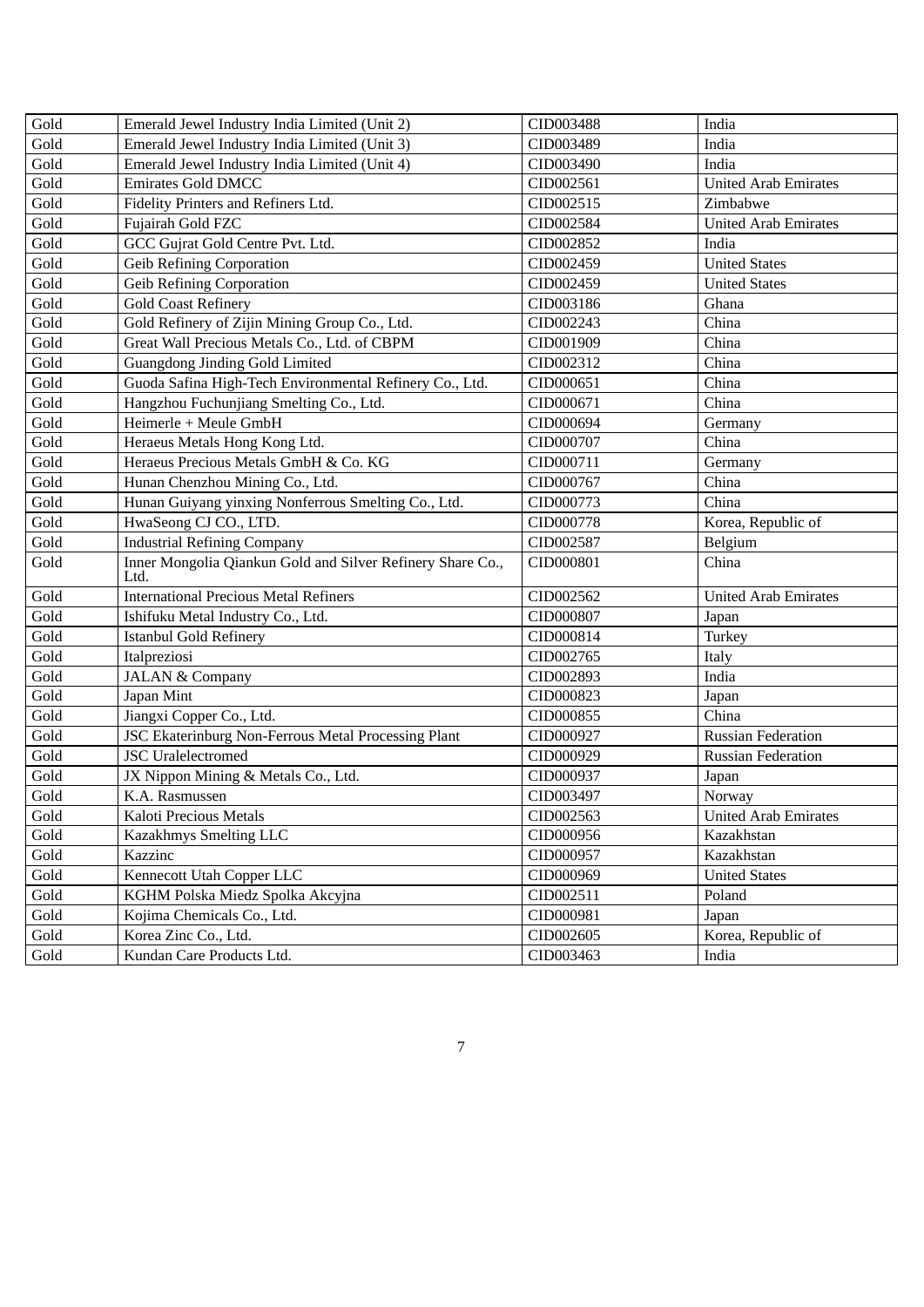| Gold | Emerald Jewel Industry India Limited (Unit 2)                      | CID003488 | India                       |
|------|--------------------------------------------------------------------|-----------|-----------------------------|
| Gold | Emerald Jewel Industry India Limited (Unit 3)                      | CID003489 | India                       |
| Gold | Emerald Jewel Industry India Limited (Unit 4)                      | CID003490 | India                       |
| Gold | <b>Emirates Gold DMCC</b>                                          | CID002561 | <b>United Arab Emirates</b> |
| Gold | Fidelity Printers and Refiners Ltd.                                | CID002515 | Zimbabwe                    |
| Gold | Fujairah Gold FZC                                                  | CID002584 | <b>United Arab Emirates</b> |
| Gold | GCC Gujrat Gold Centre Pvt. Ltd.                                   | CID002852 | India                       |
| Gold | <b>Geib Refining Corporation</b>                                   | CID002459 | <b>United States</b>        |
| Gold | <b>Geib Refining Corporation</b>                                   | CID002459 | <b>United States</b>        |
| Gold | <b>Gold Coast Refinery</b>                                         | CID003186 | Ghana                       |
| Gold | Gold Refinery of Zijin Mining Group Co., Ltd.                      | CID002243 | China                       |
| Gold | Great Wall Precious Metals Co., Ltd. of CBPM                       | CID001909 | China                       |
| Gold | Guangdong Jinding Gold Limited                                     | CID002312 | China                       |
| Gold | Guoda Safina High-Tech Environmental Refinery Co., Ltd.            | CID000651 | China                       |
| Gold | Hangzhou Fuchunjiang Smelting Co., Ltd.                            | CID000671 | China                       |
| Gold | Heimerle + Meule GmbH                                              | CID000694 | Germany                     |
| Gold | Heraeus Metals Hong Kong Ltd.                                      | CID000707 | China                       |
| Gold | Heraeus Precious Metals GmbH & Co. KG                              | CID000711 | Germany                     |
| Gold | Hunan Chenzhou Mining Co., Ltd.<br>CID000767                       |           | China                       |
| Gold | Hunan Guiyang yinxing Nonferrous Smelting Co., Ltd.                | CID000773 | China                       |
| Gold | HwaSeong CJ CO., LTD.                                              | CID000778 | Korea, Republic of          |
| Gold | <b>Industrial Refining Company</b>                                 | CID002587 | Belgium                     |
| Gold | Inner Mongolia Qiankun Gold and Silver Refinery Share Co.,<br>Ltd. | CID000801 | China                       |
| Gold | <b>International Precious Metal Refiners</b>                       | CID002562 | <b>United Arab Emirates</b> |
| Gold | Ishifuku Metal Industry Co., Ltd.                                  | CID000807 | Japan                       |
| Gold | <b>Istanbul Gold Refinery</b>                                      | CID000814 | Turkey                      |
| Gold | Italpreziosi                                                       | CID002765 | Italy                       |
| Gold | <b>JALAN &amp; Company</b>                                         | CID002893 | India                       |
| Gold | Japan Mint                                                         | CID000823 | Japan                       |
| Gold | Jiangxi Copper Co., Ltd.                                           | CID000855 | China                       |
| Gold | JSC Ekaterinburg Non-Ferrous Metal Processing Plant                | CID000927 | <b>Russian Federation</b>   |
| Gold | <b>JSC</b> Uralelectromed                                          | CID000929 | <b>Russian Federation</b>   |
| Gold | JX Nippon Mining & Metals Co., Ltd.                                | CID000937 | Japan                       |
| Gold | K.A. Rasmussen                                                     | CID003497 | Norway                      |
| Gold | Kaloti Precious Metals                                             | CID002563 | <b>United Arab Emirates</b> |
| Gold | Kazakhmys Smelting LLC                                             | CID000956 | Kazakhstan                  |
| Gold | Kazzinc                                                            | CID000957 | Kazakhstan                  |
| Gold | Kennecott Utah Copper LLC                                          | CID000969 | <b>United States</b>        |
| Gold | KGHM Polska Miedz Spolka Akcyjna                                   | CID002511 | Poland                      |
| Gold | Kojima Chemicals Co., Ltd.                                         | CID000981 | Japan                       |
| Gold | Korea Zinc Co., Ltd.                                               | CID002605 | Korea, Republic of          |
| Gold | Kundan Care Products Ltd.                                          | CID003463 | India                       |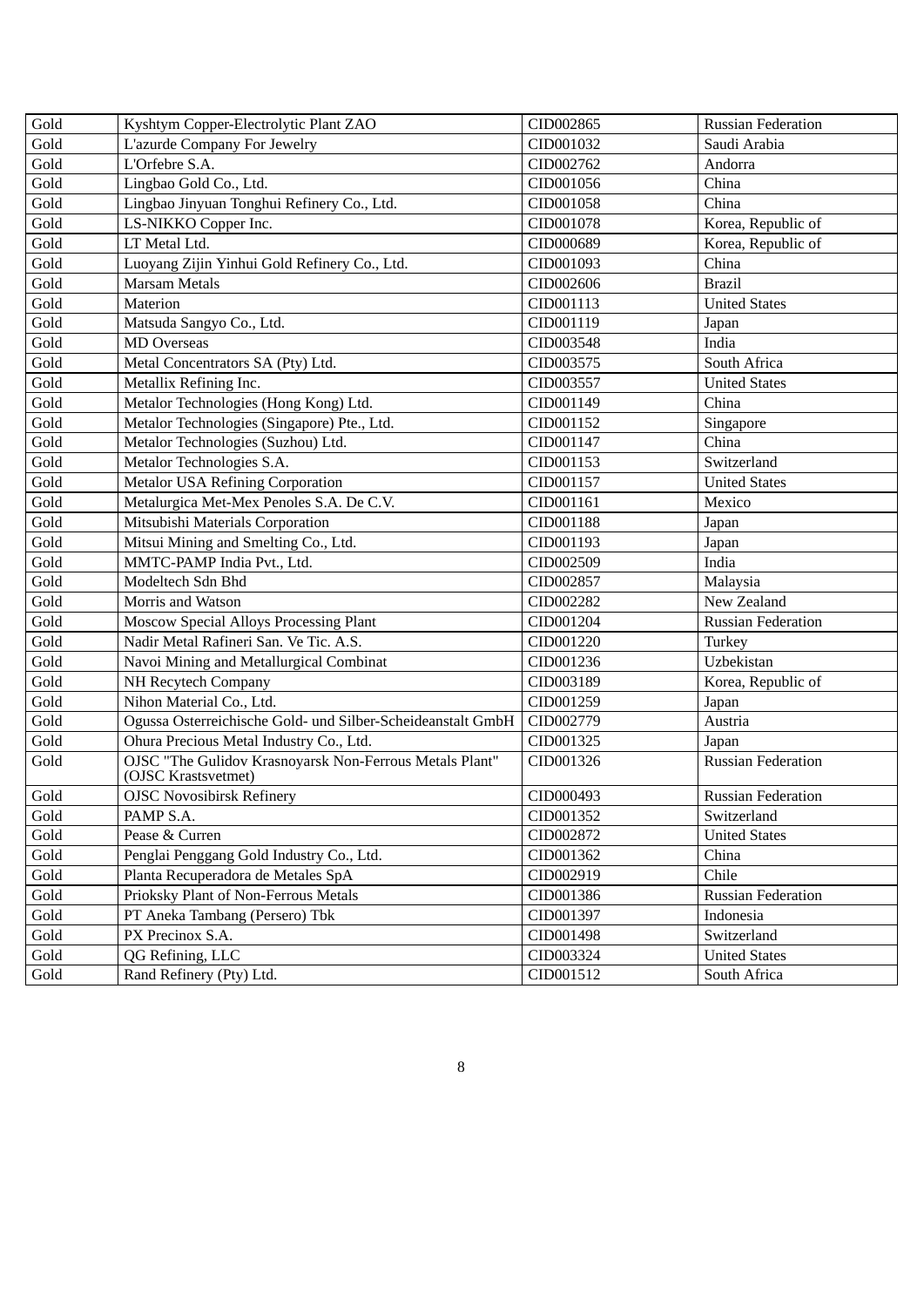| Gold                  | Kyshtym Copper-Electrolytic Plant ZAO<br>CID002865                             |                                   | <b>Russian Federation</b> |
|-----------------------|--------------------------------------------------------------------------------|-----------------------------------|---------------------------|
| Gold                  | L'azurde Company For Jewelry                                                   | CID001032                         | Saudi Arabia              |
| Gold                  | L'Orfebre S.A.                                                                 | CID002762                         | Andorra                   |
| Gold                  | Lingbao Gold Co., Ltd.                                                         | CID001056                         | China                     |
| Gold                  | Lingbao Jinyuan Tonghui Refinery Co., Ltd.                                     | CID001058                         | China                     |
| Gold                  | LS-NIKKO Copper Inc.                                                           | CID001078                         | Korea, Republic of        |
| Gold                  | LT Metal Ltd.                                                                  | CID000689                         | Korea, Republic of        |
| Gold                  | Luoyang Zijin Yinhui Gold Refinery Co., Ltd.                                   | CID001093                         | China                     |
| Gold                  | <b>Marsam Metals</b>                                                           | CID002606                         | <b>Brazil</b>             |
| Gold                  | Materion                                                                       | CID001113                         | <b>United States</b>      |
| Gold                  | Matsuda Sangyo Co., Ltd.                                                       | CID001119                         | Japan                     |
| Gold                  | <b>MD</b> Overseas                                                             | CID003548                         | India                     |
| Gold                  | Metal Concentrators SA (Pty) Ltd.                                              | CID003575                         | South Africa              |
| Gold                  | Metallix Refining Inc.                                                         | CID003557                         | <b>United States</b>      |
| Gold                  | Metalor Technologies (Hong Kong) Ltd.                                          | CID001149                         | China                     |
| Gold                  | Metalor Technologies (Singapore) Pte., Ltd.                                    | CID001152                         | Singapore                 |
| Gold                  | Metalor Technologies (Suzhou) Ltd.                                             | CID001147                         | China                     |
| Gold                  | Metalor Technologies S.A.                                                      | CID001153                         | Switzerland               |
| Gold                  | <b>Metalor USA Refining Corporation</b>                                        | CID001157<br><b>United States</b> |                           |
| Gold                  | Metalurgica Met-Mex Penoles S.A. De C.V.<br>Mexico<br>CID001161                |                                   |                           |
| Gold                  | Mitsubishi Materials Corporation<br>CID001188<br>Japan                         |                                   |                           |
| Gold                  | Mitsui Mining and Smelting Co., Ltd.                                           | CID001193                         | Japan                     |
| Gold                  | MMTC-PAMP India Pvt., Ltd.                                                     | CID002509                         | India                     |
| Gold                  | Modeltech Sdn Bhd                                                              | CID002857                         | Malaysia                  |
| Gold                  | Morris and Watson                                                              | CID002282                         | New Zealand               |
| Gold                  | Moscow Special Alloys Processing Plant                                         | CID001204                         | <b>Russian Federation</b> |
| Gold                  | Nadir Metal Rafineri San. Ve Tic. A.S.                                         | CID001220                         | Turkey                    |
| Gold                  | Navoi Mining and Metallurgical Combinat                                        | CID001236                         | Uzbekistan                |
| Gold                  | NH Recytech Company                                                            | CID003189                         | Korea, Republic of        |
| Gold                  | Nihon Material Co., Ltd.                                                       | CID001259                         | Japan                     |
| Gold                  | Ogussa Osterreichische Gold- und Silber-Scheideanstalt GmbH                    | CID002779                         | Austria                   |
| Gold                  | Ohura Precious Metal Industry Co., Ltd.                                        | CID001325                         | Japan                     |
| Gold                  | OJSC "The Gulidov Krasnoyarsk Non-Ferrous Metals Plant"<br>(OJSC Krastsvetmet) | CID001326                         | <b>Russian Federation</b> |
| Gold                  | <b>OJSC Novosibirsk Refinery</b>                                               | CID000493                         | <b>Russian Federation</b> |
| Gold                  | PAMP S.A.                                                                      | CID001352                         | Switzerland               |
| Gold                  | Pease & Curren                                                                 | CID002872                         | <b>United States</b>      |
| Gold                  | Penglai Penggang Gold Industry Co., Ltd.                                       | CID001362                         | China                     |
| Gold                  | Planta Recuperadora de Metales SpA                                             | CID002919                         | Chile                     |
| Gold                  | Prioksky Plant of Non-Ferrous Metals                                           | CID001386                         | <b>Russian Federation</b> |
| $\operatorname{Gold}$ | PT Aneka Tambang (Persero) Tbk                                                 | CID001397                         | Indonesia                 |
| Gold                  | PX Precinox S.A.                                                               | CID001498                         | Switzerland               |
| Gold                  | QG Refining, LLC                                                               | CID003324                         | <b>United States</b>      |
| Gold                  | Rand Refinery (Pty) Ltd.                                                       | CID001512                         | South Africa              |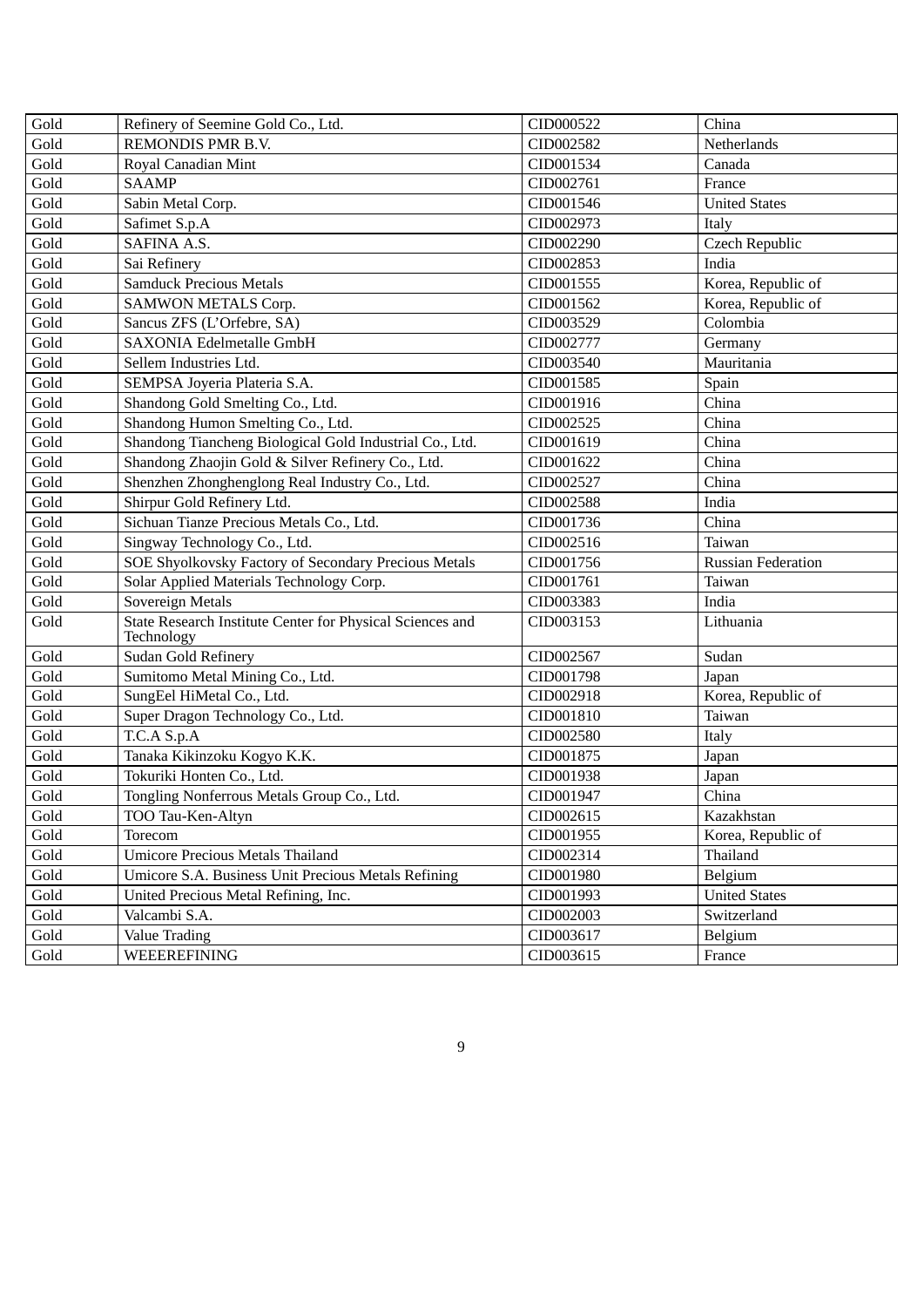| Gold | Refinery of Seemine Gold Co., Ltd.                                      | CID000522           | China                     |  |
|------|-------------------------------------------------------------------------|---------------------|---------------------------|--|
| Gold | REMONDIS PMR B.V.                                                       | CID002582           | Netherlands               |  |
| Gold | Royal Canadian Mint                                                     | CID001534           | Canada                    |  |
| Gold | <b>SAAMP</b>                                                            | CID002761           | France                    |  |
| Gold | Sabin Metal Corp.                                                       | CID001546           | <b>United States</b>      |  |
| Gold | Safimet S.p.A                                                           | CID002973           | Italy                     |  |
| Gold | SAFINA A.S.                                                             | CID002290           | Czech Republic            |  |
| Gold | Sai Refinery                                                            | CID002853           | India                     |  |
| Gold | <b>Samduck Precious Metals</b>                                          | CID001555           | Korea, Republic of        |  |
| Gold | <b>SAMWON METALS Corp.</b>                                              | CID001562           | Korea, Republic of        |  |
| Gold | Sancus ZFS (L'Orfebre, SA)                                              | CID003529           | Colombia                  |  |
| Gold | <b>SAXONIA Edelmetalle GmbH</b>                                         | CID002777           | Germany                   |  |
| Gold | Sellem Industries Ltd.                                                  | CID003540           | Mauritania                |  |
| Gold | SEMPSA Joyeria Plateria S.A.                                            | CID001585           | Spain                     |  |
| Gold | Shandong Gold Smelting Co., Ltd.                                        | CID001916           | China                     |  |
| Gold | Shandong Humon Smelting Co., Ltd.                                       | CID002525           | China                     |  |
| Gold | Shandong Tiancheng Biological Gold Industrial Co., Ltd.                 | CID001619           | China                     |  |
| Gold | Shandong Zhaojin Gold & Silver Refinery Co., Ltd.                       | China<br>CID001622  |                           |  |
| Gold | Shenzhen Zhonghenglong Real Industry Co., Ltd.<br>China<br>CID002527    |                     |                           |  |
| Gold | Shirpur Gold Refinery Ltd.                                              | CID002588           | India                     |  |
| Gold | Sichuan Tianze Precious Metals Co., Ltd.                                | CID001736           | China                     |  |
| Gold | Singway Technology Co., Ltd.                                            | CID002516<br>Taiwan |                           |  |
| Gold | SOE Shyolkovsky Factory of Secondary Precious Metals                    | CID001756           | <b>Russian Federation</b> |  |
| Gold | Solar Applied Materials Technology Corp.<br>CID001761                   |                     | Taiwan                    |  |
| Gold | Sovereign Metals                                                        | CID003383           | India                     |  |
| Gold | State Research Institute Center for Physical Sciences and<br>Technology | CID003153           | Lithuania                 |  |
| Gold | <b>Sudan Gold Refinery</b>                                              | CID002567           | Sudan                     |  |
| Gold | Sumitomo Metal Mining Co., Ltd.                                         | CID001798           | Japan                     |  |
| Gold | SungEel HiMetal Co., Ltd.                                               | CID002918           | Korea, Republic of        |  |
| Gold | Super Dragon Technology Co., Ltd.                                       | CID001810           | Taiwan                    |  |
| Gold | T.C.A S.p.A                                                             | CID002580           | Italy                     |  |
| Gold | Tanaka Kikinzoku Kogyo K.K.                                             | CID001875           | Japan                     |  |
| Gold | Tokuriki Honten Co., Ltd.                                               | CID001938           | Japan                     |  |
| Gold | Tongling Nonferrous Metals Group Co., Ltd.                              | CID001947           | China                     |  |
| Gold | TOO Tau-Ken-Altyn                                                       | CID002615           | Kazakhstan                |  |
| Gold | Torecom                                                                 | CID001955           | Korea, Republic of        |  |
| Gold | <b>Umicore Precious Metals Thailand</b>                                 | CID002314           | Thailand                  |  |
| Gold | Umicore S.A. Business Unit Precious Metals Refining                     | CID001980           | Belgium                   |  |
| Gold | United Precious Metal Refining, Inc.                                    | CID001993           | <b>United States</b>      |  |
| Gold | Valcambi S.A.                                                           | CID002003           | Switzerland               |  |
| Gold | Value Trading                                                           | CID003617           | Belgium                   |  |
| Gold | WEEEREFINING                                                            | CID003615           | France                    |  |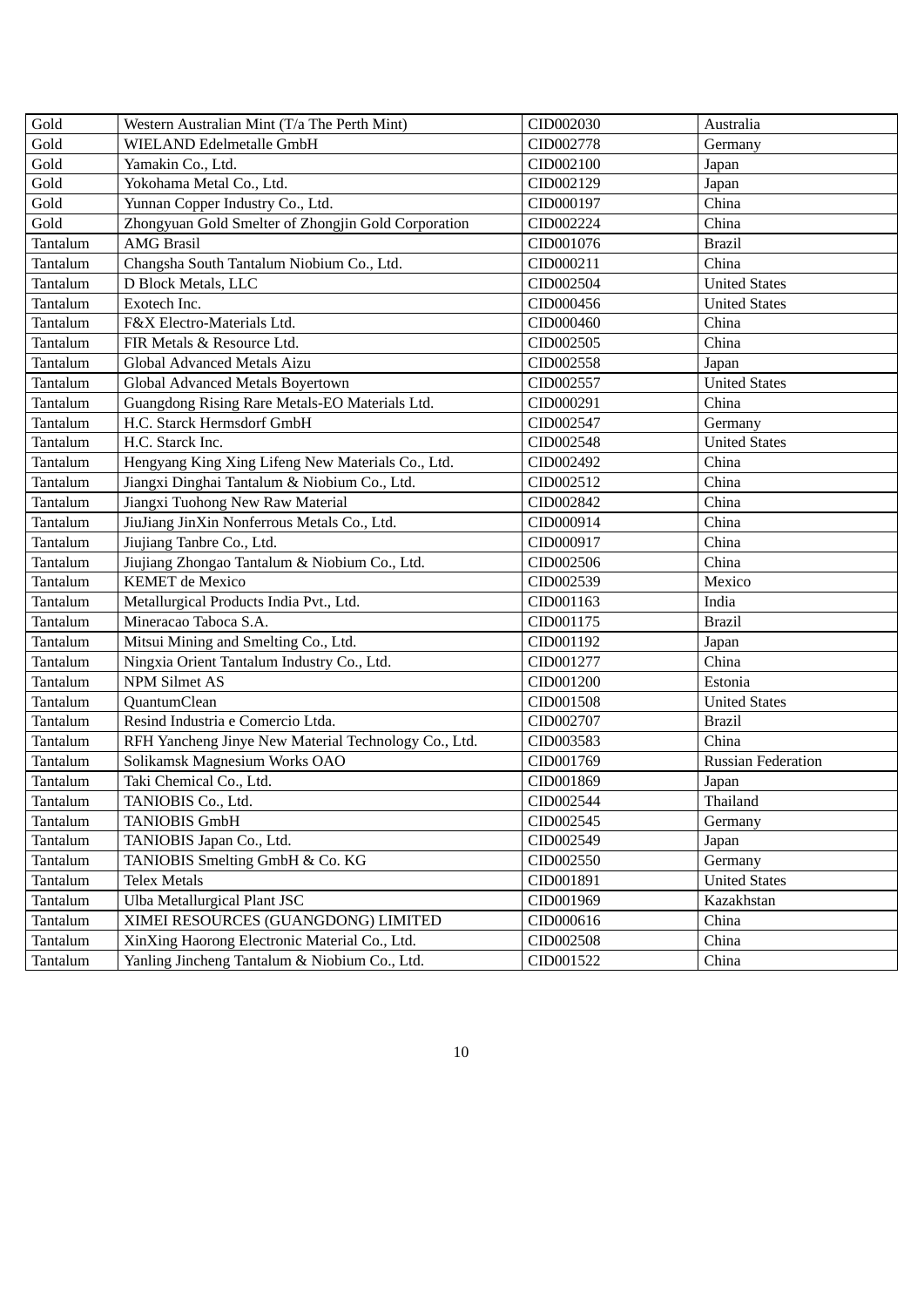| Gold     | Western Australian Mint (T/a The Perth Mint)         | CID002030 | Australia                 |
|----------|------------------------------------------------------|-----------|---------------------------|
| Gold     | <b>WIELAND Edelmetalle GmbH</b>                      | CID002778 | Germany                   |
| Gold     | Yamakin Co., Ltd.                                    | CID002100 | Japan                     |
| Gold     | Yokohama Metal Co., Ltd.                             | CID002129 | Japan                     |
| Gold     | Yunnan Copper Industry Co., Ltd.                     | CID000197 | China                     |
| Gold     | Zhongyuan Gold Smelter of Zhongjin Gold Corporation  | CID002224 | China                     |
| Tantalum | <b>AMG Brasil</b>                                    | CID001076 | <b>Brazil</b>             |
| Tantalum | Changsha South Tantalum Niobium Co., Ltd.            | CID000211 | China                     |
| Tantalum | D Block Metals, LLC                                  | CID002504 | <b>United States</b>      |
| Tantalum | Exotech Inc.                                         | CID000456 | <b>United States</b>      |
| Tantalum | F&X Electro-Materials Ltd.                           | CID000460 | China                     |
| Tantalum | FIR Metals & Resource Ltd.                           | CID002505 | China                     |
| Tantalum | Global Advanced Metals Aizu                          | CID002558 | Japan                     |
| Tantalum | Global Advanced Metals Boyertown                     | CID002557 | <b>United States</b>      |
| Tantalum | Guangdong Rising Rare Metals-EO Materials Ltd.       | CID000291 | China                     |
| Tantalum | H.C. Starck Hermsdorf GmbH                           | CID002547 | Germany                   |
| Tantalum | H.C. Starck Inc.                                     | CID002548 | <b>United States</b>      |
| Tantalum | Hengyang King Xing Lifeng New Materials Co., Ltd.    | CID002492 | China                     |
| Tantalum | Jiangxi Dinghai Tantalum & Niobium Co., Ltd.         | CID002512 | China                     |
| Tantalum | Jiangxi Tuohong New Raw Material                     | CID002842 | China                     |
| Tantalum | JiuJiang JinXin Nonferrous Metals Co., Ltd.          | CID000914 | China                     |
| Tantalum | Jiujiang Tanbre Co., Ltd.                            | CID000917 | China                     |
| Tantalum | Jiujiang Zhongao Tantalum & Niobium Co., Ltd.        | CID002506 | China                     |
| Tantalum | <b>KEMET</b> de Mexico                               | CID002539 | Mexico                    |
| Tantalum | Metallurgical Products India Pvt., Ltd.              | CID001163 | India                     |
| Tantalum | Mineracao Taboca S.A.                                | CID001175 | <b>Brazil</b>             |
| Tantalum | Mitsui Mining and Smelting Co., Ltd.                 | CID001192 | Japan                     |
| Tantalum | Ningxia Orient Tantalum Industry Co., Ltd.           | CID001277 | China                     |
| Tantalum | <b>NPM Silmet AS</b>                                 | CID001200 | Estonia                   |
| Tantalum | QuantumClean                                         | CID001508 | <b>United States</b>      |
| Tantalum | Resind Industria e Comercio Ltda.                    | CID002707 | <b>Brazil</b>             |
| Tantalum | RFH Yancheng Jinye New Material Technology Co., Ltd. | CID003583 | China                     |
| Tantalum | Solikamsk Magnesium Works OAO                        | CID001769 | <b>Russian Federation</b> |
| Tantalum | Taki Chemical Co., Ltd.                              | CID001869 | Japan                     |
| Tantalum | TANIOBIS Co., Ltd.                                   | CID002544 | Thailand                  |
| Tantalum | <b>TANIOBIS GmbH</b>                                 | CID002545 | Germany                   |
| Tantalum | TANIOBIS Japan Co., Ltd.                             | CID002549 | Japan                     |
| Tantalum | TANIOBIS Smelting GmbH & Co. KG                      | CID002550 | Germany                   |
| Tantalum | <b>Telex Metals</b>                                  | CID001891 | <b>United States</b>      |
| Tantalum | Ulba Metallurgical Plant JSC                         | CID001969 | Kazakhstan                |
| Tantalum | XIMEI RESOURCES (GUANGDONG) LIMITED                  | CID000616 | China                     |
| Tantalum | XinXing Haorong Electronic Material Co., Ltd.        | CID002508 | China                     |
| Tantalum | Yanling Jincheng Tantalum & Niobium Co., Ltd.        | CID001522 | China                     |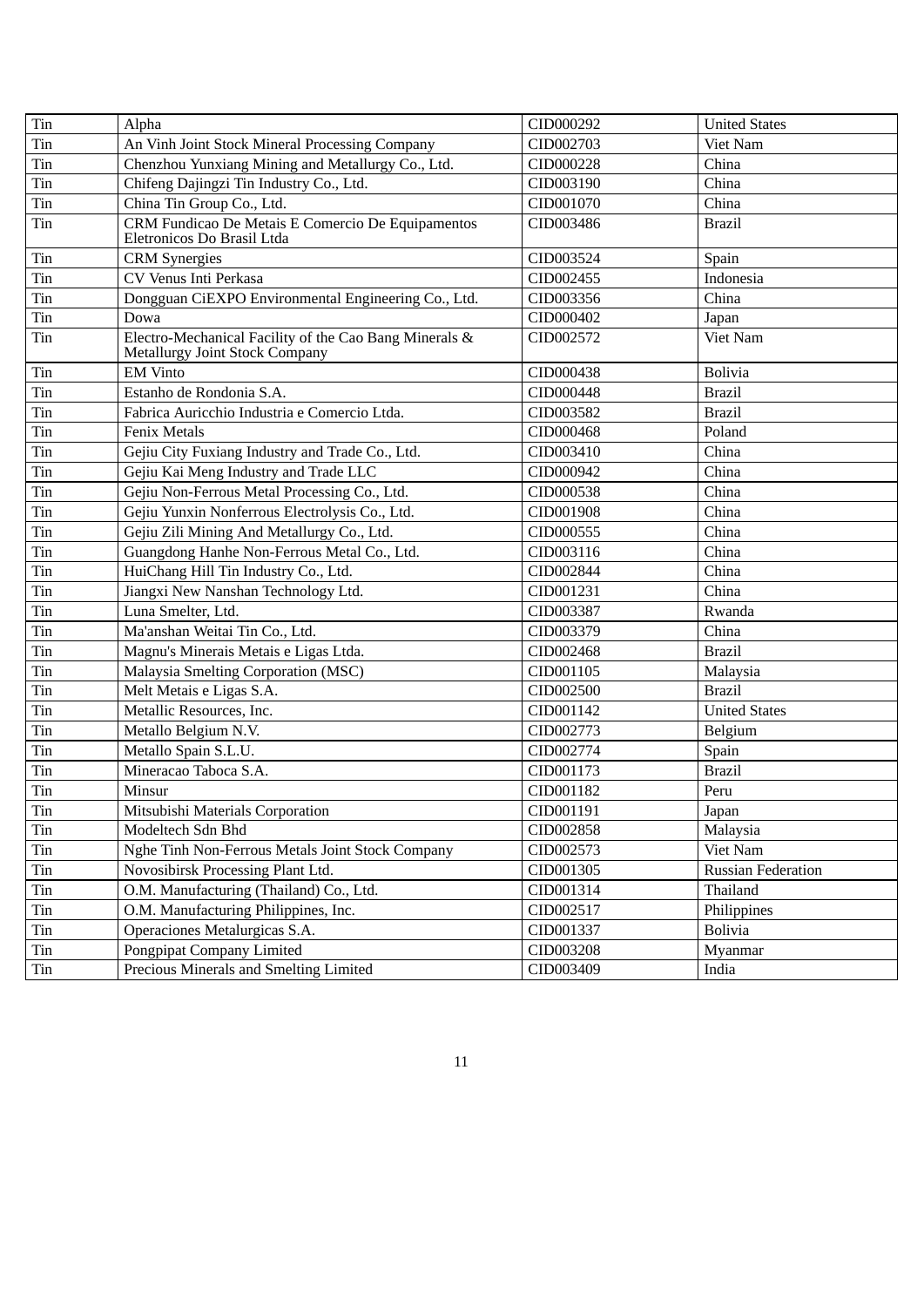| Tin | Alpha                                                                                           | CID000292 | <b>United States</b>      |
|-----|-------------------------------------------------------------------------------------------------|-----------|---------------------------|
| Tin | An Vinh Joint Stock Mineral Processing Company                                                  | CID002703 | Viet Nam                  |
| Tin | Chenzhou Yunxiang Mining and Metallurgy Co., Ltd.                                               | CID000228 | China                     |
| Tin | Chifeng Dajingzi Tin Industry Co., Ltd.                                                         | CID003190 | China                     |
| Tin | China Tin Group Co., Ltd.                                                                       | CID001070 | China                     |
| Tin | CRM Fundicao De Metais E Comercio De Equipamentos<br>Eletronicos Do Brasil Ltda                 | CID003486 | <b>Brazil</b>             |
| Tin | <b>CRM</b> Synergies                                                                            | CID003524 | Spain                     |
| Tin | CV Venus Inti Perkasa                                                                           | CID002455 | Indonesia                 |
| Tin | Dongguan CiEXPO Environmental Engineering Co., Ltd.                                             | CID003356 | China                     |
| Tin | Dowa                                                                                            | CID000402 | Japan                     |
| Tin | Electro-Mechanical Facility of the Cao Bang Minerals &<br><b>Metallurgy Joint Stock Company</b> | CID002572 | Viet Nam                  |
| Tin | <b>EM Vinto</b>                                                                                 | CID000438 | <b>Bolivia</b>            |
| Tin | Estanho de Rondonia S.A.                                                                        | CID000448 | <b>Brazil</b>             |
| Tin | Fabrica Auricchio Industria e Comercio Ltda.                                                    | CID003582 | <b>Brazil</b>             |
| Tin | <b>Fenix Metals</b>                                                                             | CID000468 | Poland                    |
| Tin | Gejiu City Fuxiang Industry and Trade Co., Ltd.                                                 | CID003410 | China                     |
| Tin | Gejiu Kai Meng Industry and Trade LLC                                                           | CID000942 | China                     |
| Tin | Gejiu Non-Ferrous Metal Processing Co., Ltd.                                                    | CID000538 | China                     |
| Tin | Gejiu Yunxin Nonferrous Electrolysis Co., Ltd.                                                  | CID001908 | China                     |
| Tin | Gejiu Zili Mining And Metallurgy Co., Ltd.                                                      | CID000555 | China                     |
| Tin | Guangdong Hanhe Non-Ferrous Metal Co., Ltd.                                                     | CID003116 | China                     |
| Tin | HuiChang Hill Tin Industry Co., Ltd.                                                            | CID002844 | China                     |
| Tin | Jiangxi New Nanshan Technology Ltd.                                                             | CID001231 | China                     |
| Tin | Luna Smelter, Ltd.                                                                              | CID003387 | Rwanda                    |
| Tin | Ma'anshan Weitai Tin Co., Ltd.                                                                  | CID003379 | China                     |
| Tin | Magnu's Minerais Metais e Ligas Ltda.                                                           | CID002468 | <b>Brazil</b>             |
| Tin | Malaysia Smelting Corporation (MSC)                                                             | CID001105 | Malaysia                  |
| Tin | Melt Metais e Ligas S.A.                                                                        | CID002500 | <b>Brazil</b>             |
| Tin | Metallic Resources, Inc.                                                                        | CID001142 | <b>United States</b>      |
| Tin | Metallo Belgium N.V.                                                                            | CID002773 | Belgium                   |
| Tin | Metallo Spain S.L.U.                                                                            | CID002774 | Spain                     |
| Tin | Mineracao Taboca S.A.                                                                           | CID001173 | <b>Brazil</b>             |
| Tin | Minsur                                                                                          | CID001182 | Peru                      |
| Tin | Mitsubishi Materials Corporation                                                                | CID001191 | Japan                     |
| Tin | Modeltech Sdn Bhd                                                                               | CID002858 | Malaysia                  |
| Tin | Nghe Tinh Non-Ferrous Metals Joint Stock Company                                                | CID002573 | Viet Nam                  |
| Tin | Novosibirsk Processing Plant Ltd.                                                               | CID001305 | <b>Russian Federation</b> |
| Tin | O.M. Manufacturing (Thailand) Co., Ltd.                                                         | CID001314 | Thailand                  |
| Tin | O.M. Manufacturing Philippines, Inc.                                                            | CID002517 | Philippines               |
| Tin | Operaciones Metalurgicas S.A.                                                                   | CID001337 | <b>Bolivia</b>            |
| Tin | Pongpipat Company Limited                                                                       | CID003208 | Myanmar                   |
| Tin | Precious Minerals and Smelting Limited                                                          | CID003409 | India                     |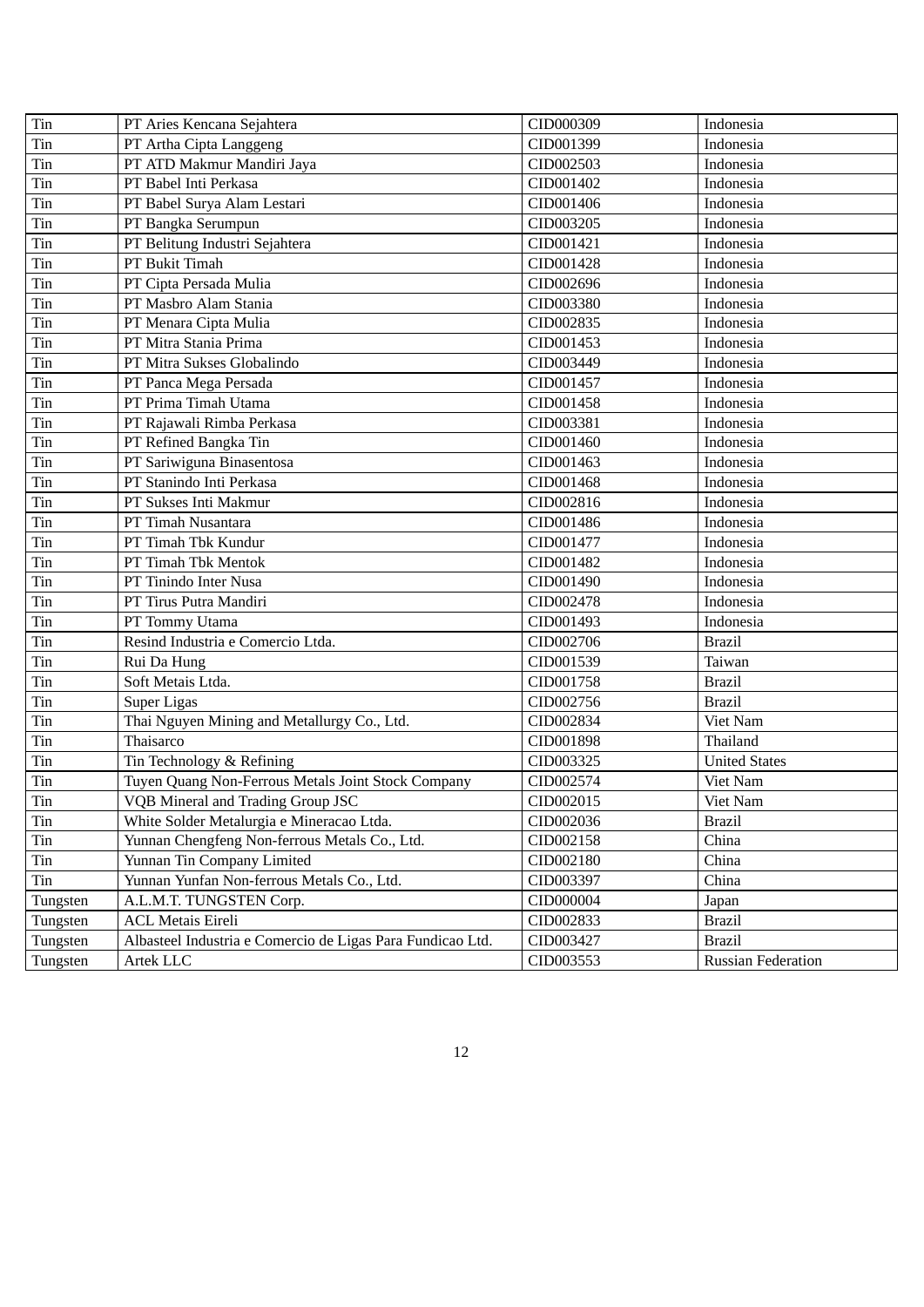| Tin      | PT Aries Kencana Sejahtera                                 | CID000309 | Indonesia            |
|----------|------------------------------------------------------------|-----------|----------------------|
| Tin      | PT Artha Cipta Langgeng                                    | CID001399 | Indonesia            |
| Tin      | PT ATD Makmur Mandiri Jaya                                 | CID002503 | Indonesia            |
| Tin      | PT Babel Inti Perkasa                                      | CID001402 | Indonesia            |
| Tin      | PT Babel Surya Alam Lestari                                | CID001406 | Indonesia            |
| Tin      | PT Bangka Serumpun                                         | CID003205 | Indonesia            |
| Tin      | PT Belitung Industri Sejahtera                             | CID001421 | Indonesia            |
| Tin      | PT Bukit Timah                                             | CID001428 | Indonesia            |
| Tin      | PT Cipta Persada Mulia                                     | CID002696 | Indonesia            |
| Tin      | PT Masbro Alam Stania                                      | CID003380 | Indonesia            |
| Tin      | PT Menara Cipta Mulia                                      | CID002835 | Indonesia            |
| Tin      | PT Mitra Stania Prima                                      | CID001453 | Indonesia            |
| Tin      | PT Mitra Sukses Globalindo                                 | CID003449 | Indonesia            |
| Tin      | PT Panca Mega Persada                                      | CID001457 | Indonesia            |
| Tin      | PT Prima Timah Utama                                       | CID001458 | Indonesia            |
| Tin      | PT Rajawali Rimba Perkasa                                  | CID003381 | Indonesia            |
| Tin      | PT Refined Bangka Tin                                      | CID001460 | Indonesia            |
| Tin      | PT Sariwiguna Binasentosa                                  | CID001463 | Indonesia            |
| Tin      | PT Stanindo Inti Perkasa                                   | CID001468 | Indonesia            |
| Tin      | PT Sukses Inti Makmur                                      | CID002816 | Indonesia            |
| Tin      | PT Timah Nusantara                                         | CID001486 | Indonesia            |
| Tin      | PT Timah Tbk Kundur                                        | CID001477 | Indonesia            |
| Tin      | PT Timah Tbk Mentok                                        | CID001482 | Indonesia            |
| Tin      | PT Tinindo Inter Nusa                                      | CID001490 | Indonesia            |
| Tin      | PT Tirus Putra Mandiri                                     | CID002478 | Indonesia            |
| Tin      | PT Tommy Utama                                             | CID001493 | Indonesia            |
| Tin      | Resind Industria e Comercio Ltda.                          | CID002706 | <b>Brazil</b>        |
| Tin      | Rui Da Hung                                                | CID001539 | Taiwan               |
| Tin      | Soft Metais Ltda.                                          | CID001758 | <b>Brazil</b>        |
| Tin      | Super Ligas                                                | CID002756 | <b>Brazil</b>        |
| Tin      | Thai Nguyen Mining and Metallurgy Co., Ltd.                | CID002834 | Viet Nam             |
| Tin      | Thaisarco                                                  | CID001898 | Thailand             |
| Tin      | Tin Technology & Refining                                  | CID003325 | <b>United States</b> |
| Tin      | Tuyen Quang Non-Ferrous Metals Joint Stock Company         | CID002574 | Viet Nam             |
| Tin      | VQB Mineral and Trading Group JSC                          | CID002015 | Viet Nam             |
| Tin      | White Solder Metalurgia e Mineracao Ltda.                  | CID002036 | <b>Brazil</b>        |
| Tin      | Yunnan Chengfeng Non-ferrous Metals Co., Ltd.              | CID002158 | China                |
| Tin      | Yunnan Tin Company Limited                                 | CID002180 | China                |
| Tin      | Yunnan Yunfan Non-ferrous Metals Co., Ltd.                 | CID003397 | China                |
| Tungsten | A.L.M.T. TUNGSTEN Corp.                                    | CID000004 | Japan                |
| Tungsten | <b>ACL Metais Eireli</b>                                   | CID002833 | <b>Brazil</b>        |
| Tungsten | Albasteel Industria e Comercio de Ligas Para Fundicao Ltd. | CID003427 | <b>Brazil</b>        |
| Tungsten | Artek LLC                                                  | CID003553 | Russian Federation   |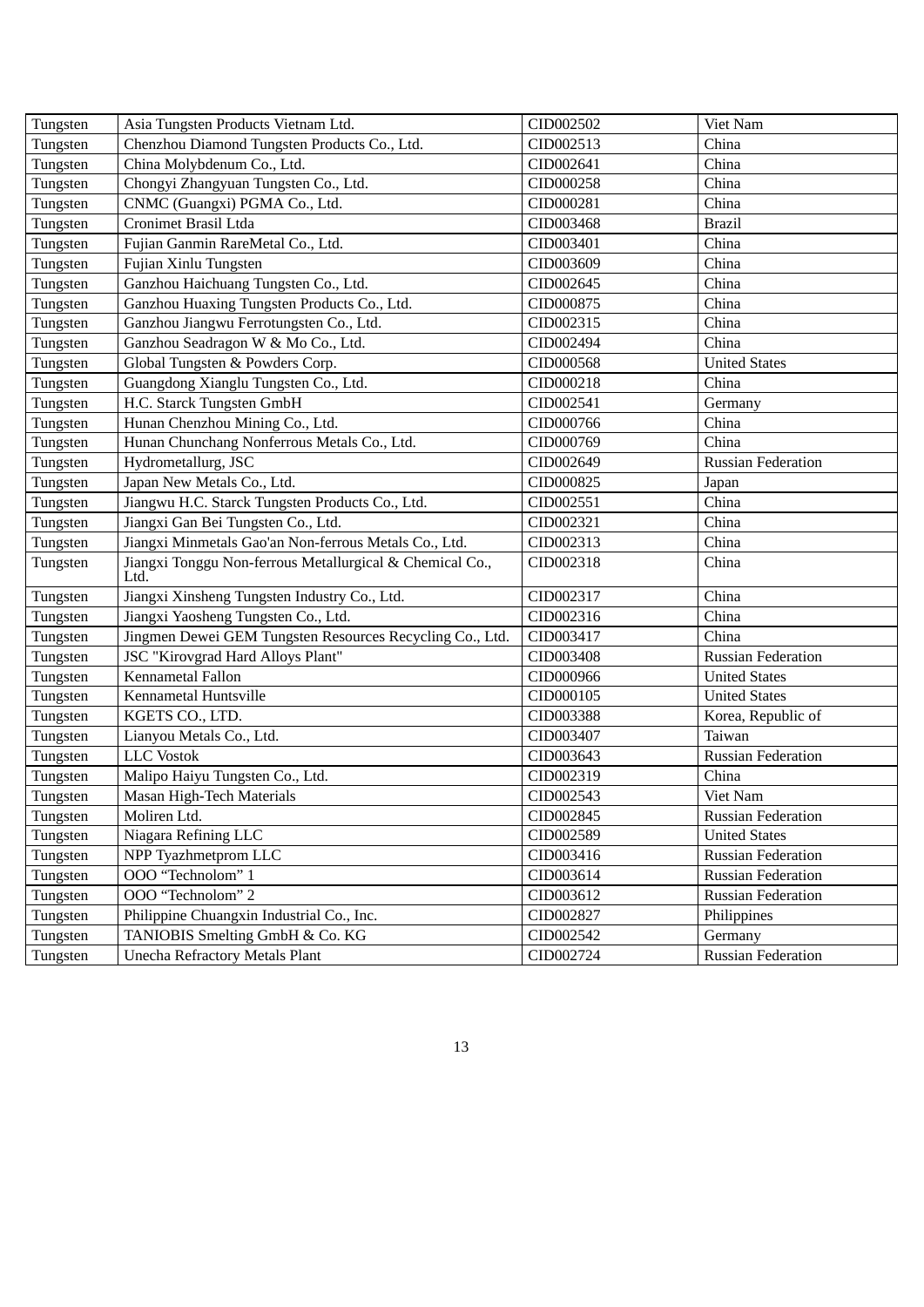| Tungsten | Asia Tungsten Products Vietnam Ltd.                                | CID002502 | Viet Nam                  |
|----------|--------------------------------------------------------------------|-----------|---------------------------|
| Tungsten | Chenzhou Diamond Tungsten Products Co., Ltd.                       | CID002513 | China                     |
| Tungsten | China Molybdenum Co., Ltd.                                         | CID002641 | China                     |
| Tungsten | Chongyi Zhangyuan Tungsten Co., Ltd.                               | CID000258 | China                     |
| Tungsten | CNMC (Guangxi) PGMA Co., Ltd.                                      | CID000281 | China                     |
| Tungsten | Cronimet Brasil Ltda                                               | CID003468 | <b>Brazil</b>             |
| Tungsten | Fujian Ganmin RareMetal Co., Ltd.                                  | CID003401 | China                     |
| Tungsten | Fujian Xinlu Tungsten                                              | CID003609 | China                     |
| Tungsten | Ganzhou Haichuang Tungsten Co., Ltd.                               | CID002645 | China                     |
| Tungsten | Ganzhou Huaxing Tungsten Products Co., Ltd.                        | CID000875 | China                     |
| Tungsten | Ganzhou Jiangwu Ferrotungsten Co., Ltd.                            | CID002315 | China                     |
| Tungsten | Ganzhou Seadragon W & Mo Co., Ltd.                                 | CID002494 | China                     |
| Tungsten | Global Tungsten & Powders Corp.                                    | CID000568 | <b>United States</b>      |
| Tungsten | Guangdong Xianglu Tungsten Co., Ltd.                               | CID000218 | China                     |
| Tungsten | H.C. Starck Tungsten GmbH                                          | CID002541 | Germany                   |
| Tungsten | Hunan Chenzhou Mining Co., Ltd.                                    | CID000766 | China                     |
| Tungsten | Hunan Chunchang Nonferrous Metals Co., Ltd.                        | CID000769 | China                     |
| Tungsten | Hydrometallurg, JSC<br>CID002649                                   |           | <b>Russian Federation</b> |
| Tungsten | Japan New Metals Co., Ltd.                                         | CID000825 | Japan                     |
| Tungsten | Jiangwu H.C. Starck Tungsten Products Co., Ltd.                    | CID002551 | China                     |
| Tungsten | Jiangxi Gan Bei Tungsten Co., Ltd.                                 | CID002321 | China                     |
| Tungsten | Jiangxi Minmetals Gao'an Non-ferrous Metals Co., Ltd.<br>CID002313 |           | China                     |
| Tungsten | Jiangxi Tonggu Non-ferrous Metallurgical & Chemical Co.,<br>Ltd.   | CID002318 | China                     |
| Tungsten | Jiangxi Xinsheng Tungsten Industry Co., Ltd.                       | CID002317 | China                     |
| Tungsten | Jiangxi Yaosheng Tungsten Co., Ltd.                                | CID002316 | China                     |
| Tungsten | Jingmen Dewei GEM Tungsten Resources Recycling Co., Ltd.           | CID003417 | China                     |
| Tungsten | JSC "Kirovgrad Hard Alloys Plant"                                  | CID003408 | Russian Federation        |
| Tungsten | Kennametal Fallon                                                  | CID000966 | <b>United States</b>      |
| Tungsten | Kennametal Huntsville                                              | CID000105 | <b>United States</b>      |
| Tungsten | KGETS CO., LTD.                                                    | CID003388 | Korea, Republic of        |
| Tungsten | Lianyou Metals Co., Ltd.                                           | CID003407 | Taiwan                    |
| Tungsten | <b>LLC</b> Vostok                                                  | CID003643 | <b>Russian Federation</b> |
| Tungsten | Malipo Haiyu Tungsten Co., Ltd.                                    | CID002319 | China                     |
| Tungsten | Masan High-Tech Materials                                          | CID002543 | Viet Nam                  |
| Tungsten | Moliren Ltd.                                                       | CID002845 | <b>Russian Federation</b> |
| Tungsten | Niagara Refining LLC                                               | CID002589 | <b>United States</b>      |
| Tungsten | NPP Tyazhmetprom LLC                                               | CID003416 | <b>Russian Federation</b> |
| Tungsten | OOO "Technolom" 1                                                  | CID003614 | <b>Russian Federation</b> |
| Tungsten | OOO "Technolom" 2                                                  | CID003612 | <b>Russian Federation</b> |
| Tungsten | Philippine Chuangxin Industrial Co., Inc.                          | CID002827 | Philippines               |
| Tungsten | TANIOBIS Smelting GmbH & Co. KG                                    | CID002542 | Germany                   |
| Tungsten | <b>Unecha Refractory Metals Plant</b>                              | CID002724 | <b>Russian Federation</b> |